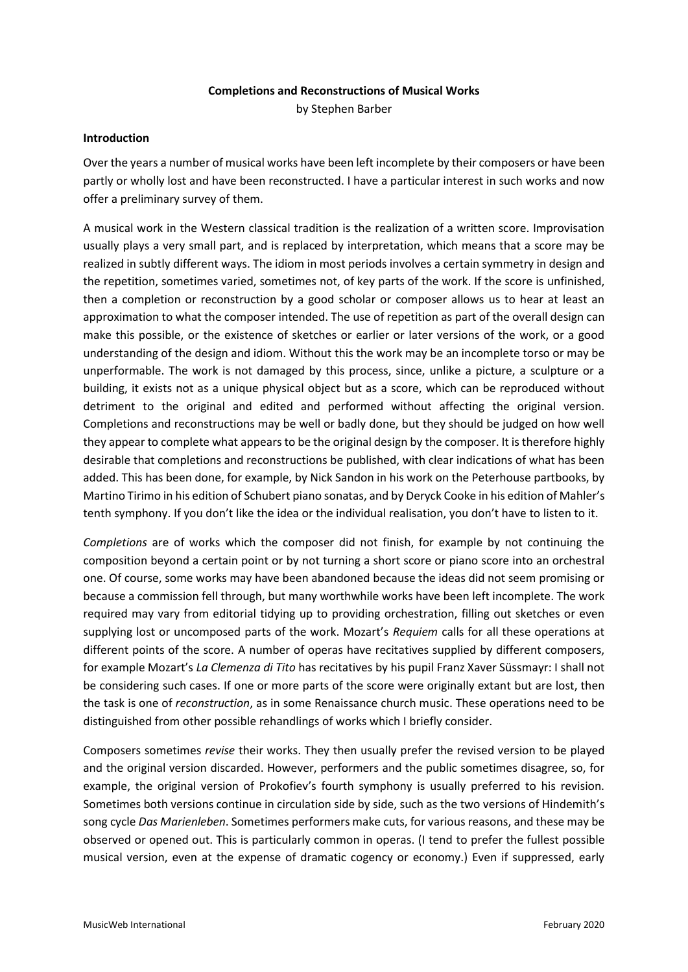# **Completions and Reconstructions of Musical Works**

by Stephen Barber

## **Introduction**

Over the years a number of musical works have been left incomplete by their composers or have been partly or wholly lost and have been reconstructed. I have a particular interest in such works and now offer a preliminary survey of them.

A musical work in the Western classical tradition is the realization of a written score. Improvisation usually plays a very small part, and is replaced by interpretation, which means that a score may be realized in subtly different ways. The idiom in most periods involves a certain symmetry in design and the repetition, sometimes varied, sometimes not, of key parts of the work. If the score is unfinished, then a completion or reconstruction by a good scholar or composer allows us to hear at least an approximation to what the composer intended. The use of repetition as part of the overall design can make this possible, or the existence of sketches or earlier or later versions of the work, or a good understanding of the design and idiom. Without this the work may be an incomplete torso or may be unperformable. The work is not damaged by this process, since, unlike a picture, a sculpture or a building, it exists not as a unique physical object but as a score, which can be reproduced without detriment to the original and edited and performed without affecting the original version. Completions and reconstructions may be well or badly done, but they should be judged on how well they appear to complete what appears to be the original design by the composer. It is therefore highly desirable that completions and reconstructions be published, with clear indications of what has been added. This has been done, for example, by Nick Sandon in his work on the Peterhouse partbooks, by Martino Tirimo in his edition of Schubert piano sonatas, and by Deryck Cooke in his edition of Mahler's tenth symphony. If you don't like the idea or the individual realisation, you don't have to listen to it.

*Completions* are of works which the composer did not finish, for example by not continuing the composition beyond a certain point or by not turning a short score or piano score into an orchestral one. Of course, some works may have been abandoned because the ideas did not seem promising or because a commission fell through, but many worthwhile works have been left incomplete. The work required may vary from editorial tidying up to providing orchestration, filling out sketches or even supplying lost or uncomposed parts of the work. Mozart's *Requiem* calls for all these operations at different points of the score. A number of operas have recitatives supplied by different composers, for example Mozart's *La Clemenza di Tito* has recitatives by his pupil Franz Xaver Süssmayr: I shall not be considering such cases. If one or more parts of the score were originally extant but are lost, then the task is one of *reconstruction*, as in some Renaissance church music. These operations need to be distinguished from other possible rehandlings of works which I briefly consider.

Composers sometimes *revise* their works. They then usually prefer the revised version to be played and the original version discarded. However, performers and the public sometimes disagree, so, for example, the original version of Prokofiev's fourth symphony is usually preferred to his revision. Sometimes both versions continue in circulation side by side, such as the two versions of Hindemith's song cycle *Das Marienleben*. Sometimes performers make cuts, for various reasons, and these may be observed or opened out. This is particularly common in operas. (I tend to prefer the fullest possible musical version, even at the expense of dramatic cogency or economy.) Even if suppressed, early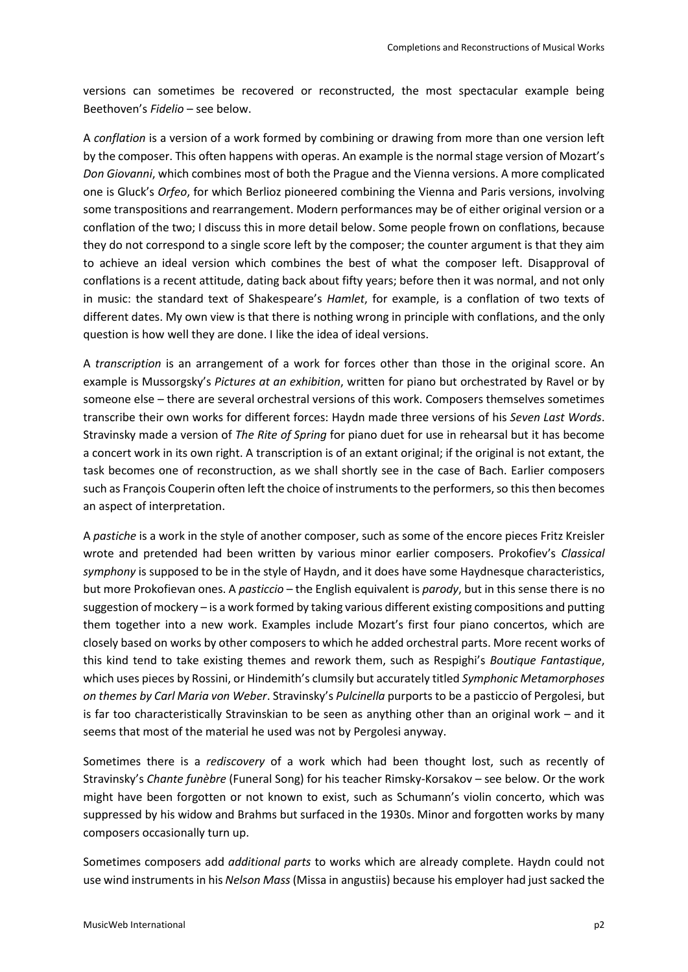versions can sometimes be recovered or reconstructed, the most spectacular example being Beethoven's *Fidelio* – see below.

A *conflation* is a version of a work formed by combining or drawing from more than one version left by the composer. This often happens with operas. An example is the normal stage version of Mozart's *Don Giovanni*, which combines most of both the Prague and the Vienna versions. A more complicated one is Gluck's *Orfeo*, for which Berlioz pioneered combining the Vienna and Paris versions, involving some transpositions and rearrangement. Modern performances may be of either original version or a conflation of the two; I discuss this in more detail below. Some people frown on conflations, because they do not correspond to a single score left by the composer; the counter argument is that they aim to achieve an ideal version which combines the best of what the composer left. Disapproval of conflations is a recent attitude, dating back about fifty years; before then it was normal, and not only in music: the standard text of Shakespeare's *Hamlet*, for example, is a conflation of two texts of different dates. My own view is that there is nothing wrong in principle with conflations, and the only question is how well they are done. I like the idea of ideal versions.

A *transcription* is an arrangement of a work for forces other than those in the original score. An example is Mussorgsky's *Pictures at an exhibition*, written for piano but orchestrated by Ravel or by someone else – there are several orchestral versions of this work. Composers themselves sometimes transcribe their own works for different forces: Haydn made three versions of his *Seven Last Words*. Stravinsky made a version of *The Rite of Spring* for piano duet for use in rehearsal but it has become a concert work in its own right. A transcription is of an extant original; if the original is not extant, the task becomes one of reconstruction, as we shall shortly see in the case of Bach. Earlier composers such as François Couperin often left the choice of instruments to the performers, so this then becomes an aspect of interpretation.

A *pastiche* is a work in the style of another composer, such as some of the encore pieces Fritz Kreisler wrote and pretended had been written by various minor earlier composers. Prokofiev's *Classical symphony* is supposed to be in the style of Haydn, and it does have some Haydnesque characteristics, but more Prokofievan ones. A *pasticcio* – the English equivalent is *parody*, but in this sense there is no suggestion of mockery – is a work formed by taking various different existing compositions and putting them together into a new work. Examples include Mozart's first four piano concertos, which are closely based on works by other composers to which he added orchestral parts. More recent works of this kind tend to take existing themes and rework them, such as Respighi's *Boutique Fantastique*, which uses pieces by Rossini, or Hindemith's clumsily but accurately titled *Symphonic Metamorphoses on themes by Carl Maria von Weber*. Stravinsky's *Pulcinella* purports to be a pasticcio of Pergolesi, but is far too characteristically Stravinskian to be seen as anything other than an original work – and it seems that most of the material he used was not by Pergolesi anyway.

Sometimes there is a *rediscovery* of a work which had been thought lost, such as recently of Stravinsky's *Chante funèbre* (Funeral Song) for his teacher Rimsky-Korsakov – see below. Or the work might have been forgotten or not known to exist, such as Schumann's violin concerto, which was suppressed by his widow and Brahms but surfaced in the 1930s. Minor and forgotten works by many composers occasionally turn up.

Sometimes composers add *additional parts* to works which are already complete. Haydn could not use wind instruments in his *Nelson Mass* (Missa in angustiis) because his employer had just sacked the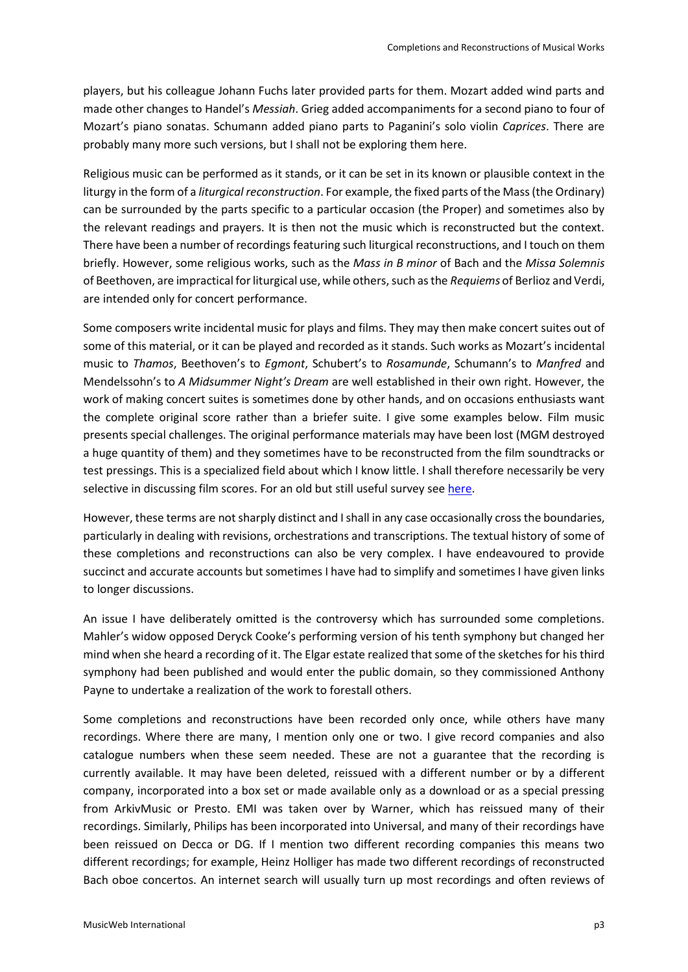players, but his colleague Johann Fuchs later provided parts for them. Mozart added wind parts and made other changes to Handel's *Messiah*. Grieg added accompaniments for a second piano to four of Mozart's piano sonatas. Schumann added piano parts to Paganini's solo violin *Caprices*. There are probably many more such versions, but I shall not be exploring them here.

Religious music can be performed as it stands, or it can be set in its known or plausible context in the liturgy in the form of a *liturgical reconstruction*. For example, the fixed parts of the Mass (the Ordinary) can be surrounded by the parts specific to a particular occasion (the Proper) and sometimes also by the relevant readings and prayers. It is then not the music which is reconstructed but the context. There have been a number of recordings featuring such liturgical reconstructions, and I touch on them briefly. However, some religious works, such as the *Mass in B minor* of Bach and the *Missa Solemnis* of Beethoven, are impractical for liturgical use, while others, such as the *Requiems* of Berlioz and Verdi, are intended only for concert performance.

Some composers write incidental music for plays and films. They may then make concert suites out of some of this material, or it can be played and recorded as it stands. Such works as Mozart's incidental music to *Thamos*, Beethoven's to *Egmont*, Schubert's to *Rosamunde*, Schumann's to *Manfred* and Mendelssohn's to *A Midsummer Night's Dream* are well established in their own right. However, the work of making concert suites is sometimes done by other hands, and on occasions enthusiasts want the complete original score rather than a briefer suite. I give some examples below. Film music presents special challenges. The original performance materials may have been lost (MGM destroyed a huge quantity of them) and they sometimes have to be reconstructed from the film soundtracks or test pressings. This is a specialized field about which I know little. I shall therefore necessarily be very selective in discussing film scores. For an old but still useful survey se[e here.](http://www.musicweb-international.com/film/)

However, these terms are not sharply distinct and I shall in any case occasionally cross the boundaries, particularly in dealing with revisions, orchestrations and transcriptions. The textual history of some of these completions and reconstructions can also be very complex. I have endeavoured to provide succinct and accurate accounts but sometimes I have had to simplify and sometimes I have given links to longer discussions.

An issue I have deliberately omitted is the controversy which has surrounded some completions. Mahler's widow opposed Deryck Cooke's performing version of his tenth symphony but changed her mind when she heard a recording of it. The Elgar estate realized that some of the sketches for his third symphony had been published and would enter the public domain, so they commissioned Anthony Payne to undertake a realization of the work to forestall others.

Some completions and reconstructions have been recorded only once, while others have many recordings. Where there are many, I mention only one or two. I give record companies and also catalogue numbers when these seem needed. These are not a guarantee that the recording is currently available. It may have been deleted, reissued with a different number or by a different company, incorporated into a box set or made available only as a download or as a special pressing from ArkivMusic or Presto. EMI was taken over by Warner, which has reissued many of their recordings. Similarly, Philips has been incorporated into Universal, and many of their recordings have been reissued on Decca or DG. If I mention two different recording companies this means two different recordings; for example, Heinz Holliger has made two different recordings of reconstructed Bach oboe concertos. An internet search will usually turn up most recordings and often reviews of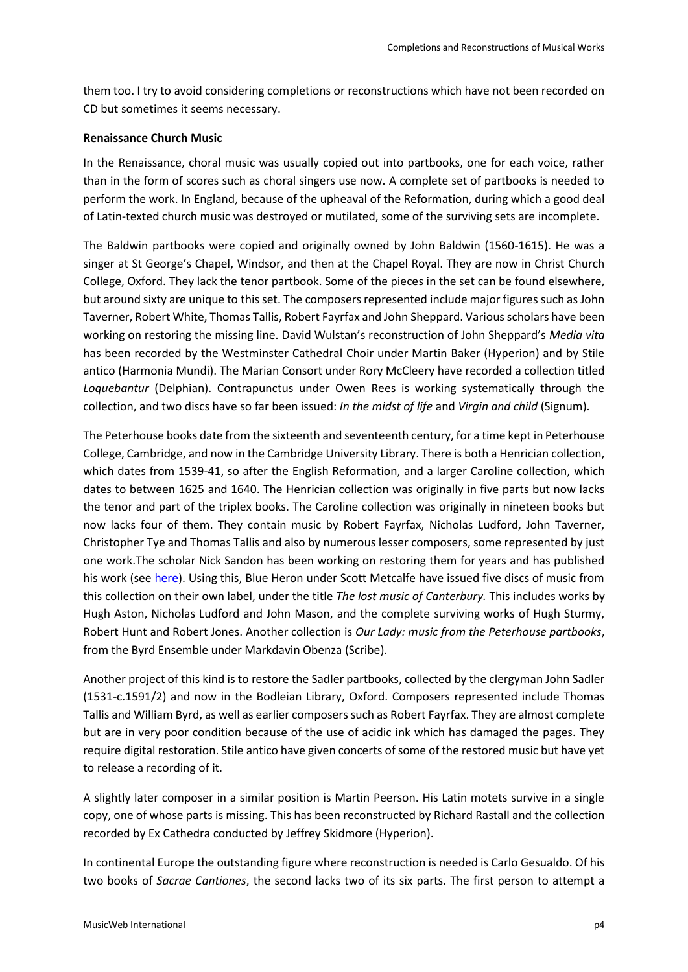them too. I try to avoid considering completions or reconstructions which have not been recorded on CD but sometimes it seems necessary.

## **Renaissance Church Music**

In the Renaissance, choral music was usually copied out into partbooks, one for each voice, rather than in the form of scores such as choral singers use now. A complete set of partbooks is needed to perform the work. In England, because of the upheaval of the Reformation, during which a good deal of Latin-texted church music was destroyed or mutilated, some of the surviving sets are incomplete.

The Baldwin partbooks were copied and originally owned by John Baldwin (1560-1615). He was a singer at St George's Chapel, Windsor, and then at the Chapel Royal. They are now in Christ Church College, Oxford. They lack the tenor partbook. Some of the pieces in the set can be found elsewhere, but around sixty are unique to this set. The composers represented include major figures such as John Taverner, Robert White, Thomas Tallis, Robert Fayrfax and John Sheppard. Various scholars have been working on restoring the missing line. David Wulstan's reconstruction of John Sheppard's *Media vita* has been recorded by the Westminster Cathedral Choir under Martin Baker (Hyperion) and by Stile antico (Harmonia Mundi). The Marian Consort under Rory McCleery have recorded a collection titled *Loquebantur* (Delphian). Contrapunctus under Owen Rees is working systematically through the collection, and two discs have so far been issued: *In the midst of life* and *Virgin and child* (Signum).

The Peterhouse books date from the sixteenth and seventeenth century, for a time kept in Peterhouse College, Cambridge, and now in the Cambridge University Library. There is both a Henrician collection, which dates from 1539-41, so after the English Reformation, and a larger Caroline collection, which dates to between 1625 and 1640. The Henrician collection was originally in five parts but now lacks the tenor and part of the triplex books. The Caroline collection was originally in nineteen books but now lacks four of them. They contain music by Robert Fayrfax, Nicholas Ludford, John Taverner, Christopher Tye and Thomas Tallis and also by numerous lesser composers, some represented by just one work.The scholar Nick Sandon has been working on restoring them for years and has published his work (see [here\)](http://www.anticoedition.co.uk/html/peterhouse.htm). Using this, Blue Heron under Scott Metcalfe have issued five discs of music from this collection on their own label, under the title *The lost music of Canterbury.* This includes works by Hugh Aston, Nicholas Ludford and John Mason, and the complete surviving works of Hugh Sturmy, Robert Hunt and Robert Jones. Another collection is *Our Lady: music from the Peterhouse partbooks*, from the Byrd Ensemble under Markdavin Obenza (Scribe).

Another project of this kind is to restore the Sadler partbooks, collected by the clergyman John Sadler (1531-c.1591/2) and now in the Bodleian Library, Oxford. Composers represented include Thomas Tallis and William Byrd, as well as earlier composers such as Robert Fayrfax. They are almost complete but are in very poor condition because of the use of acidic ink which has damaged the pages. They require digital restoration. Stile antico have given concerts of some of the restored music but have yet to release a recording of it.

A slightly later composer in a similar position is Martin Peerson. His Latin motets survive in a single copy, one of whose parts is missing. This has been reconstructed by Richard Rastall and the collection recorded by Ex Cathedra conducted by Jeffrey Skidmore (Hyperion).

In continental Europe the outstanding figure where reconstruction is needed is Carlo Gesualdo. Of his two books of *Sacrae Cantiones*, the second lacks two of its six parts. The first person to attempt a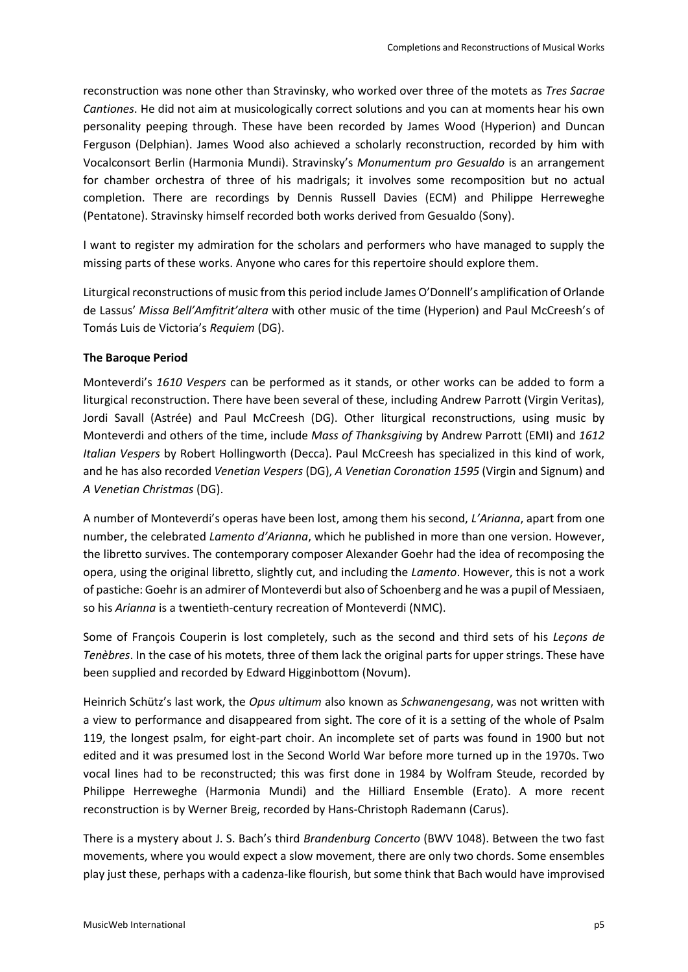reconstruction was none other than Stravinsky, who worked over three of the motets as *Tres Sacrae Cantiones*. He did not aim at musicologically correct solutions and you can at moments hear his own personality peeping through. These have been recorded by James Wood (Hyperion) and Duncan Ferguson (Delphian). James Wood also achieved a scholarly reconstruction, recorded by him with Vocalconsort Berlin (Harmonia Mundi). Stravinsky's *Monumentum pro Gesualdo* is an arrangement for chamber orchestra of three of his madrigals; it involves some recomposition but no actual completion. There are recordings by Dennis Russell Davies (ECM) and Philippe Herreweghe (Pentatone). Stravinsky himself recorded both works derived from Gesualdo (Sony).

I want to register my admiration for the scholars and performers who have managed to supply the missing parts of these works. Anyone who cares for this repertoire should explore them.

Liturgical reconstructions of music from this period include James O'Donnell's amplification of Orlande de Lassus' *Missa Bell'Amfitrit'altera* with other music of the time (Hyperion) and Paul McCreesh's of Tomás Luis de Victoria's *Requiem* (DG).

# **The Baroque Period**

Monteverdi's *1610 Vespers* can be performed as it stands, or other works can be added to form a liturgical reconstruction. There have been several of these, including Andrew Parrott (Virgin Veritas), Jordi Savall (Astrée) and Paul McCreesh (DG). Other liturgical reconstructions, using music by Monteverdi and others of the time, include *Mass of Thanksgiving* by Andrew Parrott (EMI) and *1612 Italian Vespers* by Robert Hollingworth (Decca). Paul McCreesh has specialized in this kind of work, and he has also recorded *Venetian Vespers* (DG), *A Venetian Coronation 1595* (Virgin and Signum) and *A Venetian Christmas* (DG).

A number of Monteverdi's operas have been lost, among them his second, *L'Arianna*, apart from one number, the celebrated *Lamento d'Arianna*, which he published in more than one version. However, the libretto survives. The contemporary composer Alexander Goehr had the idea of recomposing the opera, using the original libretto, slightly cut, and including the *Lamento*. However, this is not a work of pastiche: Goehr is an admirer of Monteverdi but also of Schoenberg and he was a pupil of Messiaen, so his *Arianna* is a twentieth-century recreation of Monteverdi (NMC).

Some of François Couperin is lost completely, such as the second and third sets of his *Leçons de Tenèbres*. In the case of his motets, three of them lack the original parts for upper strings. These have been supplied and recorded by Edward Higginbottom (Novum).

Heinrich Schütz's last work, the *Opus ultimum* also known as *Schwanengesang*, was not written with a view to performance and disappeared from sight. The core of it is a setting of the whole of Psalm 119, the longest psalm, for eight-part choir. An incomplete set of parts was found in 1900 but not edited and it was presumed lost in the Second World War before more turned up in the 1970s. Two vocal lines had to be reconstructed; this was first done in 1984 by Wolfram Steude, recorded by Philippe Herreweghe (Harmonia Mundi) and the Hilliard Ensemble (Erato). A more recent reconstruction is by Werner Breig, recorded by Hans-Christoph Rademann (Carus).

There is a mystery about J. S. Bach's third *Brandenburg Concerto* (BWV 1048). Between the two fast movements, where you would expect a slow movement, there are only two chords. Some ensembles play just these, perhaps with a cadenza-like flourish, but some think that Bach would have improvised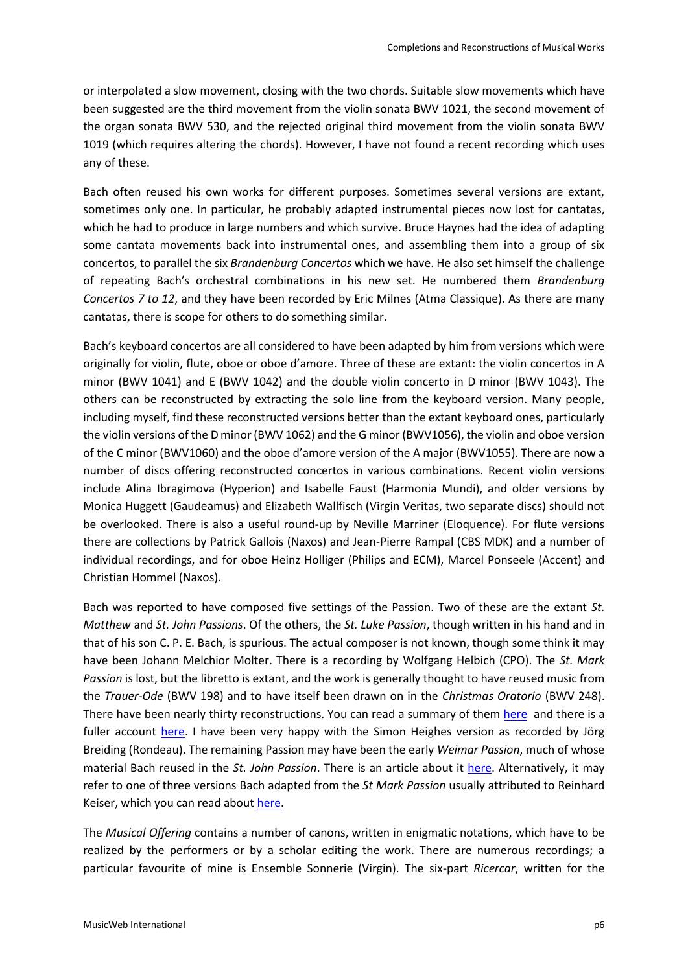or interpolated a slow movement, closing with the two chords. Suitable slow movements which have been suggested are the third movement from the violin sonata BWV 1021, the second movement of the organ sonata BWV 530, and the rejected original third movement from the violin sonata BWV 1019 (which requires altering the chords). However, I have not found a recent recording which uses any of these.

Bach often reused his own works for different purposes. Sometimes several versions are extant, sometimes only one. In particular, he probably adapted instrumental pieces now lost for cantatas, which he had to produce in large numbers and which survive. Bruce Haynes had the idea of adapting some cantata movements back into instrumental ones, and assembling them into a group of six concertos, to parallel the six *Brandenburg Concertos* which we have. He also set himself the challenge of repeating Bach's orchestral combinations in his new set. He numbered them *Brandenburg Concertos 7 to 12*, and they have been recorded by Eric Milnes (Atma Classique). As there are many cantatas, there is scope for others to do something similar.

Bach's keyboard concertos are all considered to have been adapted by him from versions which were originally for violin, flute, oboe or oboe d'amore. Three of these are extant: the violin concertos in A minor (BWV 1041) and E (BWV 1042) and the double violin concerto in D minor (BWV 1043). The others can be reconstructed by extracting the solo line from the keyboard version. Many people, including myself, find these reconstructed versions better than the extant keyboard ones, particularly the violin versions of the D minor (BWV 1062) and the G minor (BWV1056), the violin and oboe version of the C minor (BWV1060) and the oboe d'amore version of the A major (BWV1055). There are now a number of discs offering reconstructed concertos in various combinations. Recent violin versions include Alina Ibragimova (Hyperion) and Isabelle Faust (Harmonia Mundi), and older versions by Monica Huggett (Gaudeamus) and Elizabeth Wallfisch (Virgin Veritas, two separate discs) should not be overlooked. There is also a useful round-up by Neville Marriner (Eloquence). For flute versions there are collections by Patrick Gallois (Naxos) and Jean-Pierre Rampal (CBS MDK) and a number of individual recordings, and for oboe Heinz Holliger (Philips and ECM), Marcel Ponseele (Accent) and Christian Hommel (Naxos).

Bach was reported to have composed five settings of the Passion. Two of these are the extant *St. Matthew* and *St. John Passions*. Of the others, the *St. Luke Passion*, though written in his hand and in that of his son C. P. E. Bach, is spurious. The actual composer is not known, though some think it may have been Johann Melchior Molter. There is a recording by Wolfgang Helbich (CPO). The *St. Mark Passion* is lost, but the libretto is extant, and the work is generally thought to have reused music from the *Trauer-Ode* (BWV 198) and to have itself been drawn on in the *Christmas Oratorio* (BWV 248). There have been nearly thirty reconstructions. You can read a summary of them [here](https://en.wikipedia.org/wiki/St_Mark_Passion,_BWV_247) and there is a fuller account [here.](http://www.bach-cantatas.com/Vocal/BWV247.htm) I have been very happy with the Simon Heighes version as recorded by Jörg Breiding (Rondeau). The remaining Passion may have been the early *Weimar Passion*, much of whose material Bach reused in the *St. John Passion*. There is an article about it [here.](https://en.wikipedia.org/wiki/Weimarer_Passion) Alternatively, it may refer to one of three versions Bach adapted from the *St Mark Passion* usually attributed to Reinhard Keiser, which you can read abou[t here.](https://en.wikipedia.org/wiki/St_Mark_Passion_(attributed_to_Keiser)#Bach)

The *Musical Offering* contains a number of canons, written in enigmatic notations, which have to be realized by the performers or by a scholar editing the work. There are numerous recordings; a particular favourite of mine is Ensemble Sonnerie (Virgin). The six-part *Ricercar*, written for the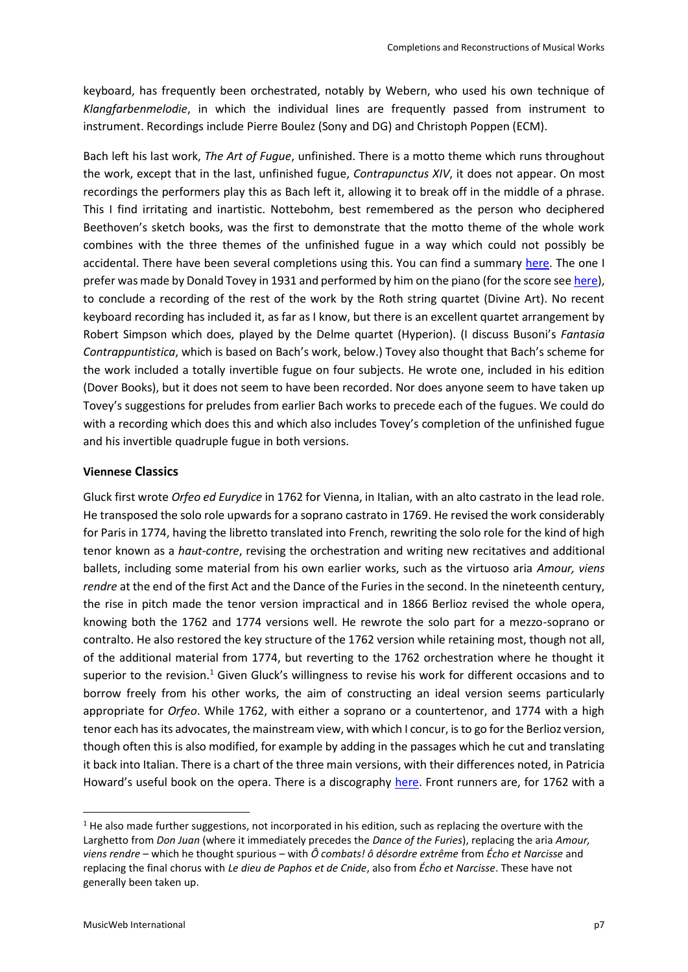keyboard, has frequently been orchestrated, notably by Webern, who used his own technique of *Klangfarbenmelodie*, in which the individual lines are frequently passed from instrument to instrument. Recordings include Pierre Boulez (Sony and DG) and Christoph Poppen (ECM).

Bach left his last work, *The Art of Fugue*, unfinished. There is a motto theme which runs throughout the work, except that in the last, unfinished fugue, *Contrapunctus XIV*, it does not appear. On most recordings the performers play this as Bach left it, allowing it to break off in the middle of a phrase. This I find irritating and inartistic. Nottebohm, best remembered as the person who deciphered Beethoven's sketch books, was the first to demonstrate that the motto theme of the whole work combines with the three themes of the unfinished fugue in a way which could not possibly be accidental. There have been several completions using this. You can find a summary [here.](https://en.wikipedia.org/wiki/The_Art_of_Fugue#The_Unfinished_Fugue) The one I prefer was made by Donald Tovey in 1931 and performed by him on the piano (for the score se[e here\)](https://pjb.com.au/mus/arr/us/c14_kbd.pdf), to conclude a recording of the rest of the work by the Roth string quartet (Divine Art). No recent keyboard recording has included it, as far as I know, but there is an excellent quartet arrangement by Robert Simpson which does, played by the Delme quartet (Hyperion). (I discuss Busoni's *Fantasia Contrappuntistica*, which is based on Bach's work, below.) Tovey also thought that Bach's scheme for the work included a totally invertible fugue on four subjects. He wrote one, included in his edition (Dover Books), but it does not seem to have been recorded. Nor does anyone seem to have taken up Tovey's suggestions for preludes from earlier Bach works to precede each of the fugues. We could do with a recording which does this and which also includes Tovey's completion of the unfinished fugue and his invertible quadruple fugue in both versions.

### **Viennese Classics**

Gluck first wrote *Orfeo ed Eurydice* in 1762 for Vienna, in Italian, with an alto castrato in the lead role. He transposed the solo role upwards for a soprano castrato in 1769. He revised the work considerably for Paris in 1774, having the libretto translated into French, rewriting the solo role for the kind of high tenor known as a *haut-contre*, revising the orchestration and writing new recitatives and additional ballets, including some material from his own earlier works, such as the virtuoso aria *Amour, viens rendre* at the end of the first Act and the Dance of the Furies in the second. In the nineteenth century, the rise in pitch made the tenor version impractical and in 1866 Berlioz revised the whole opera, knowing both the 1762 and 1774 versions well. He rewrote the solo part for a mezzo-soprano or contralto. He also restored the key structure of the 1762 version while retaining most, though not all, of the additional material from 1774, but reverting to the 1762 orchestration where he thought it superior to the revision.<sup>1</sup> Given Gluck's willingness to revise his work for different occasions and to borrow freely from his other works, the aim of constructing an ideal version seems particularly appropriate for *Orfeo*. While 1762, with either a soprano or a countertenor, and 1774 with a high tenor each has its advocates, the mainstream view, with which I concur, is to go for the Berlioz version, though often this is also modified, for example by adding in the passages which he cut and translating it back into Italian. There is a chart of the three main versions, with their differences noted, in Patricia Howard's useful book on the opera. There is a discography [here.](https://en.wikipedia.org/wiki/Orfeo_ed_Euridice_discography) Front runners are, for 1762 with a

 $<sup>1</sup>$  He also made further suggestions, not incorporated in his edition, such as replacing the overture with the</sup> Larghetto from *Don Juan* (where it immediately precedes the *Dance of the Furies*), replacing the aria *Amour, viens rendre* – which he thought spurious – with *Ô combats! ô désordre extrême* from *Écho et Narcisse* and replacing the final chorus with *Le dieu de Paphos et de Cnide*, also from *Écho et Narcisse*. These have not generally been taken up.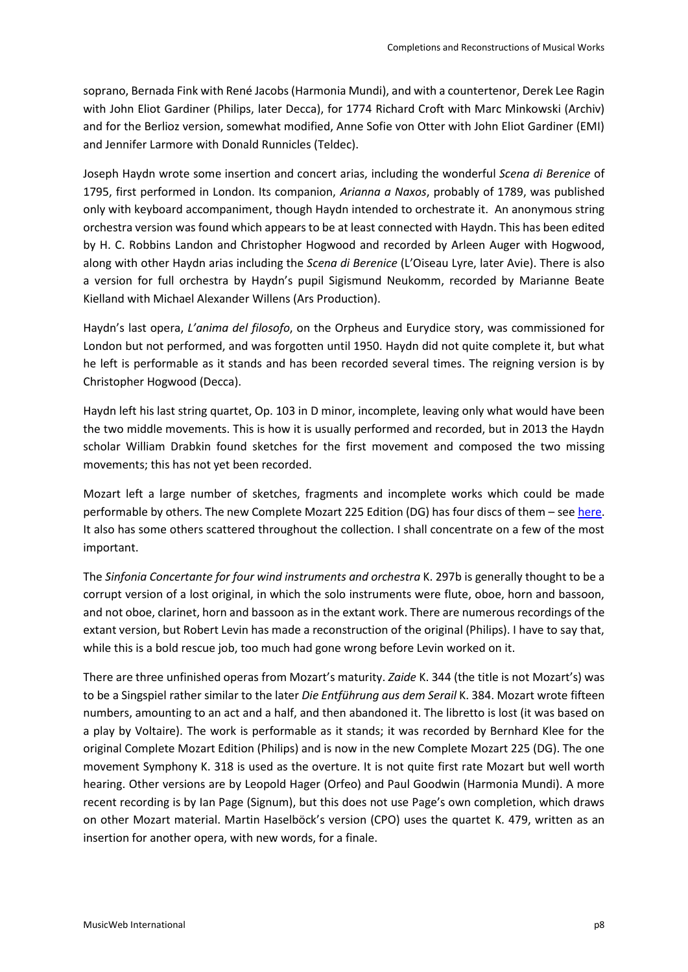soprano, Bernada Fink with René Jacobs (Harmonia Mundi), and with a countertenor, Derek Lee Ragin with John Eliot Gardiner (Philips, later Decca), for 1774 Richard Croft with Marc Minkowski (Archiv) and for the Berlioz version, somewhat modified, Anne Sofie von Otter with John Eliot Gardiner (EMI) and Jennifer Larmore with Donald Runnicles (Teldec).

Joseph Haydn wrote some insertion and concert arias, including the wonderful *Scena di Berenice* of 1795, first performed in London. Its companion, *Arianna a Naxos*, probably of 1789, was published only with keyboard accompaniment, though Haydn intended to orchestrate it. An anonymous string orchestra version was found which appears to be at least connected with Haydn. This has been edited by H. C. Robbins Landon and Christopher Hogwood and recorded by Arleen Auger with Hogwood, along with other Haydn arias including the *Scena di Berenice* (L'Oiseau Lyre, later Avie). There is also a version for full orchestra by Haydn's pupil Sigismund Neukomm, recorded by Marianne Beate Kielland with Michael Alexander Willens (Ars Production).

Haydn's last opera, *L'anima del filosofo*, on the Orpheus and Eurydice story, was commissioned for London but not performed, and was forgotten until 1950. Haydn did not quite complete it, but what he left is performable as it stands and has been recorded several times. The reigning version is by Christopher Hogwood (Decca).

Haydn left his last string quartet, Op. 103 in D minor, incomplete, leaving only what would have been the two middle movements. This is how it is usually performed and recorded, but in 2013 the Haydn scholar William Drabkin found sketches for the first movement and composed the two missing movements; this has not yet been recorded.

Mozart left a large number of sketches, fragments and incomplete works which could be made performable by others. The new Complete Mozart 225 Edition (DG) has four discs of them – see [here.](https://cdn1.umg3.net/273-cdn/website/assets/mozart225v3.pdf) It also has some others scattered throughout the collection. I shall concentrate on a few of the most important.

The *Sinfonia Concertante for four wind instruments and orchestra* K. 297b is generally thought to be a corrupt version of a lost original, in which the solo instruments were flute, oboe, horn and bassoon, and not oboe, clarinet, horn and bassoon as in the extant work. There are numerous recordings of the extant version, but Robert Levin has made a reconstruction of the original (Philips). I have to say that, while this is a bold rescue job, too much had gone wrong before Levin worked on it.

There are three unfinished operas from Mozart's maturity. *Zaide* K. 344 (the title is not Mozart's) was to be a Singspiel rather similar to the later *Die Entführung aus dem Serail* K. 384. Mozart wrote fifteen numbers, amounting to an act and a half, and then abandoned it. The libretto is lost (it was based on a play by Voltaire). The work is performable as it stands; it was recorded by Bernhard Klee for the original Complete Mozart Edition (Philips) and is now in the new Complete Mozart 225 (DG). The one movement Symphony K. 318 is used as the overture. It is not quite first rate Mozart but well worth hearing. Other versions are by Leopold Hager (Orfeo) and Paul Goodwin (Harmonia Mundi). A more recent recording is by Ian Page (Signum), but this does not use Page's own completion, which draws on other Mozart material. Martin Haselböck's version (CPO) uses the quartet K. 479, written as an insertion for another opera, with new words, for a finale.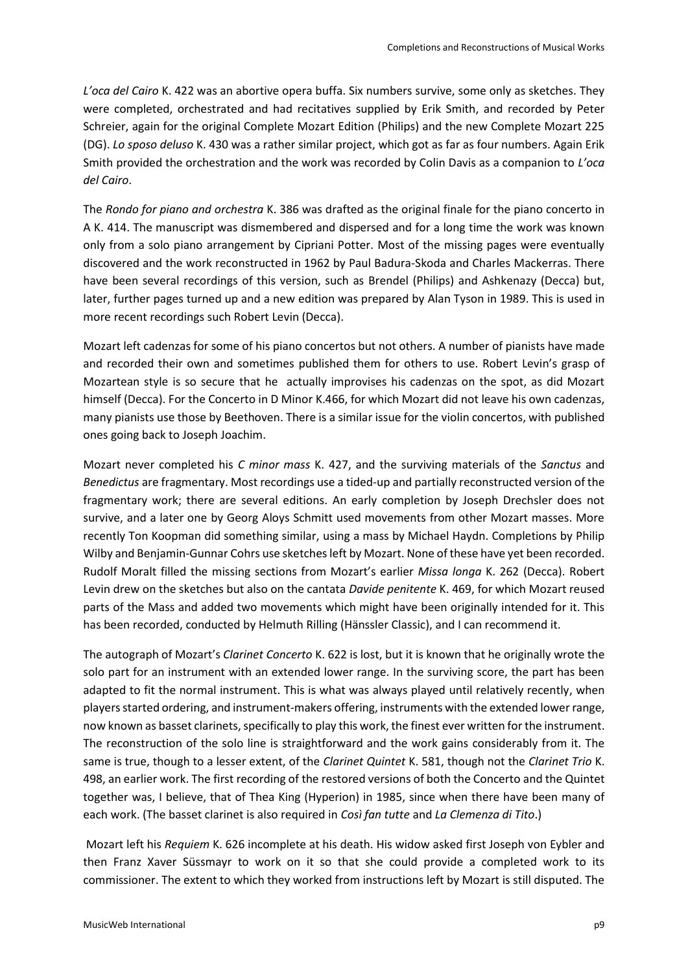*L'oca del Cairo* K. 422 was an abortive opera buffa. Six numbers survive, some only as sketches. They were completed, orchestrated and had recitatives supplied by Erik Smith, and recorded by Peter Schreier, again for the original Complete Mozart Edition (Philips) and the new Complete Mozart 225 (DG). *Lo sposo deluso* K. 430 was a rather similar project, which got as far as four numbers. Again Erik Smith provided the orchestration and the work was recorded by Colin Davis as a companion to *L'oca del Cairo*.

The *Rondo for piano and orchestra* K. 386 was drafted as the original finale for the piano concerto in A K. 414. The manuscript was dismembered and dispersed and for a long time the work was known only from a solo piano arrangement by Cipriani Potter. Most of the missing pages were eventually discovered and the work reconstructed in 1962 by Paul Badura-Skoda and Charles Mackerras. There have been several recordings of this version, such as Brendel (Philips) and Ashkenazy (Decca) but, later, further pages turned up and a new edition was prepared by Alan Tyson in 1989. This is used in more recent recordings such Robert Levin (Decca).

Mozart left cadenzas for some of his piano concertos but not others. A number of pianists have made and recorded their own and sometimes published them for others to use. Robert Levin's grasp of Mozartean style is so secure that he actually improvises his cadenzas on the spot, as did Mozart himself (Decca). For the Concerto in D Minor K.466, for which Mozart did not leave his own cadenzas, many pianists use those by Beethoven. There is a similar issue for the violin concertos, with published ones going back to Joseph Joachim.

Mozart never completed his *C minor mass* K. 427, and the surviving materials of the *Sanctus* and *Benedictus* are fragmentary. Most recordings use a tided-up and partially reconstructed version of the fragmentary work; there are several editions. An early completion by Joseph Drechsler does not survive, and a later one by Georg Aloys Schmitt used movements from other Mozart masses. More recently Ton Koopman did something similar, using a mass by Michael Haydn. Completions by Philip Wilby and Benjamin-Gunnar Cohrs use sketches left by Mozart. None of these have yet been recorded. Rudolf Moralt filled the missing sections from Mozart's earlier *Missa longa* K. 262 (Decca). Robert Levin drew on the sketches but also on the cantata *Davide penitente* K. 469, for which Mozart reused parts of the Mass and added two movements which might have been originally intended for it. This has been recorded, conducted by Helmuth Rilling (Hänssler Classic), and I can recommend it.

The autograph of Mozart's *Clarinet Concerto* K. 622 is lost, but it is known that he originally wrote the solo part for an instrument with an extended lower range. In the surviving score, the part has been adapted to fit the normal instrument. This is what was always played until relatively recently, when players started ordering, and instrument-makers offering, instruments with the extended lower range, now known as basset clarinets, specifically to play this work, the finest ever written for the instrument. The reconstruction of the solo line is straightforward and the work gains considerably from it. The same is true, though to a lesser extent, of the *Clarinet Quintet* K. 581, though not the *Clarinet Trio* K. 498, an earlier work. The first recording of the restored versions of both the Concerto and the Quintet together was, I believe, that of Thea King (Hyperion) in 1985, since when there have been many of each work. (The basset clarinet is also required in *Così fan tutte* and *La Clemenza di Tito*.)

Mozart left his *Requiem* K. 626 incomplete at his death. His widow asked first Joseph von Eybler and then Franz Xaver Süssmayr to work on it so that she could provide a completed work to its commissioner. The extent to which they worked from instructions left by Mozart is still disputed. The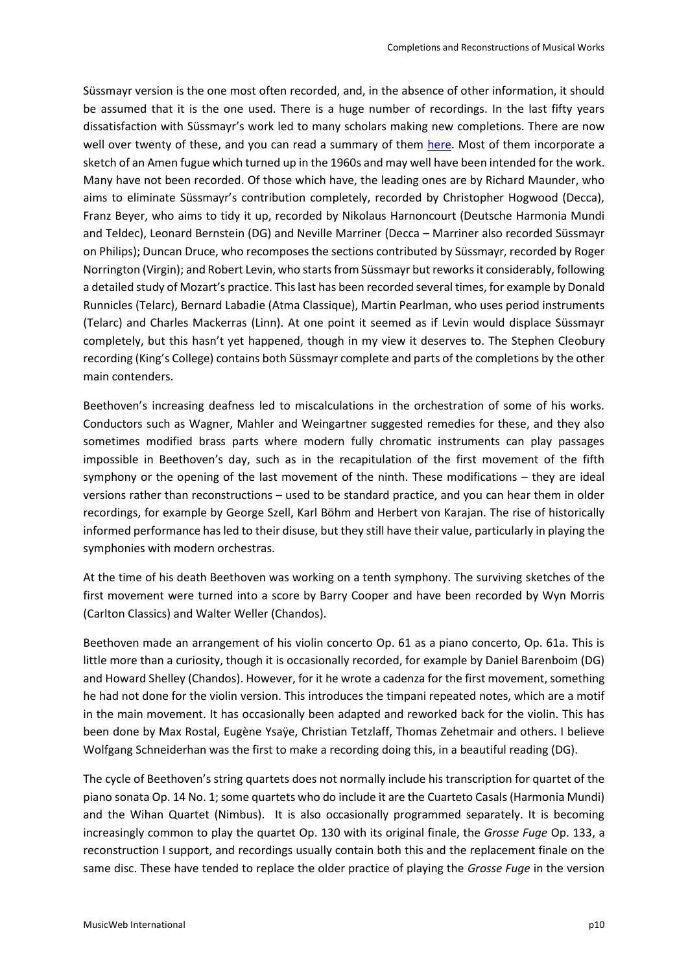Süssmayr version is the one most often recorded, and, in the absence of other information, it should be assumed that it is the one used. There is a huge number of recordings. In the last fifty years dissatisfaction with Süssmayr's work led to many scholars making new completions. There are now well over twenty of these, and you can read a summary of them [here.](https://en.wikipedia.org/wiki/Modern_completions_of_Mozart%27s_Requiem) Most of them incorporate a sketch of an Amen fugue which turned up in the 1960s and may well have been intended for the work. Many have not been recorded. Of those which have, the leading ones are by Richard Maunder, who aims to eliminate Süssmayr's contribution completely, recorded by Christopher Hogwood (Decca), Franz Beyer, who aims to tidy it up, recorded by Nikolaus Harnoncourt (Deutsche Harmonia Mundi and Teldec), Leonard Bernstein (DG) and Neville Marriner (Decca – Marriner also recorded Süssmayr on Philips); Duncan Druce, who recomposes the sections contributed by Süssmayr, recorded by Roger Norrington (Virgin); and Robert Levin, who starts from Süssmayr but reworks it considerably, following a detailed study of Mozart's practice. This last has been recorded several times, for example by Donald Runnicles (Telarc), Bernard Labadie (Atma Classique), Martin Pearlman, who uses period instruments (Telarc) and Charles Mackerras (Linn). At one point it seemed as if Levin would displace Süssmayr completely, but this hasn't yet happened, though in my view it deserves to. The Stephen Cleobury recording (King's College) contains both Süssmayr complete and parts of the completions by the other main contenders.

Beethoven's increasing deafness led to miscalculations in the orchestration of some of his works. Conductors such as Wagner, Mahler and Weingartner suggested remedies for these, and they also sometimes modified brass parts where modern fully chromatic instruments can play passages impossible in Beethoven's day, such as in the recapitulation of the first movement of the fifth symphony or the opening of the last movement of the ninth. These modifications – they are ideal versions rather than reconstructions – used to be standard practice, and you can hear them in older recordings, for example by George Szell, Karl Böhm and Herbert von Karajan. The rise of historically informed performance has led to their disuse, but they still have their value, particularly in playing the symphonies with modern orchestras.

At the time of his death Beethoven was working on a tenth symphony. The surviving sketches of the first movement were turned into a score by Barry Cooper and have been recorded by Wyn Morris (Carlton Classics) and Walter Weller (Chandos).

Beethoven made an arrangement of his violin concerto Op. 61 as a piano concerto, Op. 61a. This is little more than a curiosity, though it is occasionally recorded, for example by Daniel Barenboim (DG) and Howard Shelley (Chandos). However, for it he wrote a cadenza for the first movement, something he had not done for the violin version. This introduces the timpani repeated notes, which are a motif in the main movement. It has occasionally been adapted and reworked back for the violin. This has been done by Max Rostal, Eugène Ysaÿe, Christian Tetzlaff, Thomas Zehetmair and others. I believe Wolfgang Schneiderhan was the first to make a recording doing this, in a beautiful reading (DG).

The cycle of Beethoven's string quartets does not normally include his transcription for quartet of the piano sonata Op. 14 No. 1; some quartets who do include it are the Cuarteto Casals (Harmonia Mundi) and the Wihan Quartet (Nimbus). It is also occasionally programmed separately. It is becoming increasingly common to play the quartet Op. 130 with its original finale, the *Grosse Fuge* Op. 133, a reconstruction I support, and recordings usually contain both this and the replacement finale on the same disc. These have tended to replace the older practice of playing the *Grosse Fuge* in the version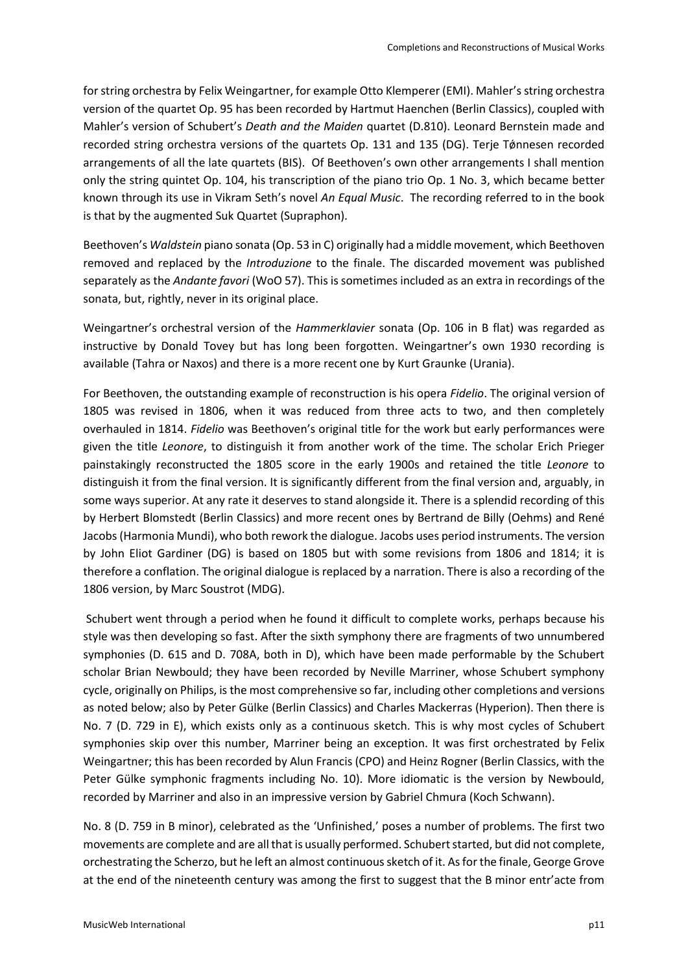for string orchestra by Felix Weingartner, for example Otto Klemperer (EMI). Mahler's string orchestra version of the quartet Op. 95 has been recorded by Hartmut Haenchen (Berlin Classics), coupled with Mahler's version of Schubert's *Death and the Maiden* quartet (D.810). Leonard Bernstein made and recorded string orchestra versions of the quartets Op. 131 and 135 (DG). Terje Tǿnnesen recorded arrangements of all the late quartets (BIS). Of Beethoven's own other arrangements I shall mention only the string quintet Op. 104, his transcription of the piano trio Op. 1 No. 3, which became better known through its use in Vikram Seth's novel *An Equal Music*. The recording referred to in the book is that by the augmented Suk Quartet (Supraphon).

Beethoven's *Waldstein* piano sonata (Op. 53 in C) originally had a middle movement, which Beethoven removed and replaced by the *Introduzione* to the finale. The discarded movement was published separately as the *Andante favori* (WoO 57). This is sometimes included as an extra in recordings of the sonata, but, rightly, never in its original place.

Weingartner's orchestral version of the *Hammerklavier* sonata (Op. 106 in B flat) was regarded as instructive by Donald Tovey but has long been forgotten. Weingartner's own 1930 recording is available (Tahra or Naxos) and there is a more recent one by Kurt Graunke (Urania).

For Beethoven, the outstanding example of reconstruction is his opera *Fidelio*. The original version of 1805 was revised in 1806, when it was reduced from three acts to two, and then completely overhauled in 1814. *Fidelio* was Beethoven's original title for the work but early performances were given the title *Leonore*, to distinguish it from another work of the time. The scholar Erich Prieger painstakingly reconstructed the 1805 score in the early 1900s and retained the title *Leonore* to distinguish it from the final version. It is significantly different from the final version and, arguably, in some ways superior. At any rate it deserves to stand alongside it. There is a splendid recording of this by Herbert Blomstedt (Berlin Classics) and more recent ones by Bertrand de Billy (Oehms) and René Jacobs (Harmonia Mundi), who both rework the dialogue. Jacobs uses period instruments. The version by John Eliot Gardiner (DG) is based on 1805 but with some revisions from 1806 and 1814; it is therefore a conflation. The original dialogue is replaced by a narration. There is also a recording of the 1806 version, by Marc Soustrot (MDG).

Schubert went through a period when he found it difficult to complete works, perhaps because his style was then developing so fast. After the sixth symphony there are fragments of two unnumbered symphonies (D. 615 and D. 708A, both in D), which have been made performable by the Schubert scholar Brian Newbould; they have been recorded by Neville Marriner, whose Schubert symphony cycle, originally on Philips, is the most comprehensive so far, including other completions and versions as noted below; also by Peter Gülke (Berlin Classics) and Charles Mackerras (Hyperion). Then there is No. 7 (D. 729 in E), which exists only as a continuous sketch. This is why most cycles of Schubert symphonies skip over this number, Marriner being an exception. It was first orchestrated by Felix Weingartner; this has been recorded by Alun Francis (CPO) and Heinz Rogner (Berlin Classics, with the Peter Gülke symphonic fragments including No. 10). More idiomatic is the version by Newbould, recorded by Marriner and also in an impressive version by Gabriel Chmura (Koch Schwann).

No. 8 (D. 759 in B minor), celebrated as the 'Unfinished,' poses a number of problems. The first two movements are complete and are all that is usually performed. Schubert started, but did not complete, orchestrating the Scherzo, but he left an almost continuous sketch of it. As for the finale, George Grove at the end of the nineteenth century was among the first to suggest that the B minor entr'acte from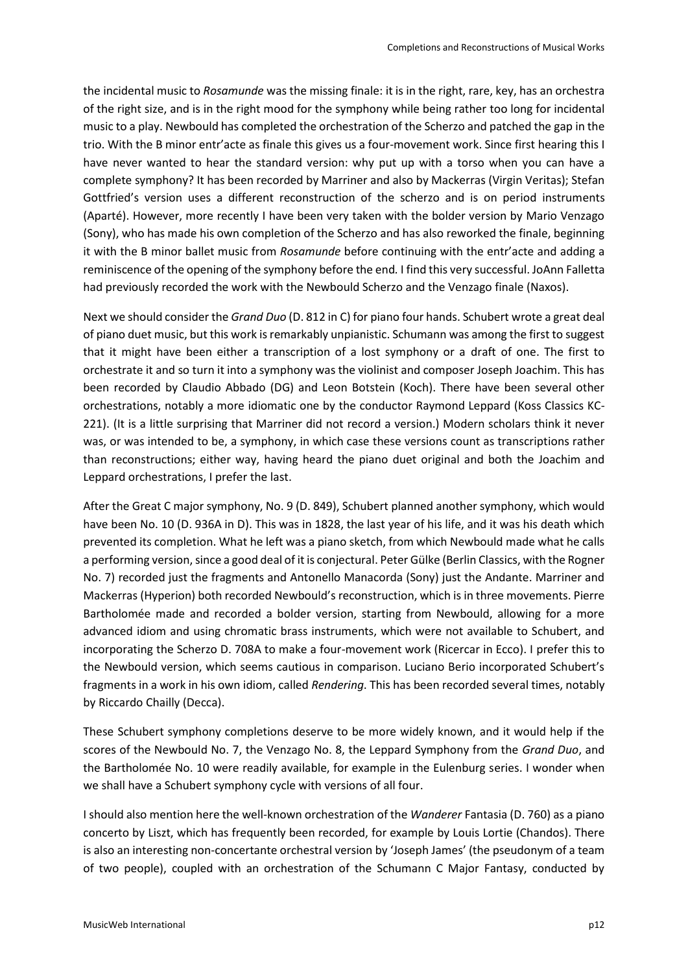the incidental music to *Rosamunde* was the missing finale: it is in the right, rare, key, has an orchestra of the right size, and is in the right mood for the symphony while being rather too long for incidental music to a play. Newbould has completed the orchestration of the Scherzo and patched the gap in the trio. With the B minor entr'acte as finale this gives us a four-movement work. Since first hearing this I have never wanted to hear the standard version: why put up with a torso when you can have a complete symphony? It has been recorded by Marriner and also by Mackerras (Virgin Veritas); Stefan Gottfried's version uses a different reconstruction of the scherzo and is on period instruments (Aparté). However, more recently I have been very taken with the bolder version by Mario Venzago (Sony), who has made his own completion of the Scherzo and has also reworked the finale, beginning it with the B minor ballet music from *Rosamunde* before continuing with the entr'acte and adding a reminiscence of the opening of the symphony before the end*.* I find this very successful. JoAnn Falletta had previously recorded the work with the Newbould Scherzo and the Venzago finale (Naxos).

Next we should consider the *Grand Duo* (D. 812 in C) for piano four hands. Schubert wrote a great deal of piano duet music, but this work is remarkably unpianistic. Schumann was among the first to suggest that it might have been either a transcription of a lost symphony or a draft of one. The first to orchestrate it and so turn it into a symphony was the violinist and composer Joseph Joachim. This has been recorded by Claudio Abbado (DG) and Leon Botstein (Koch). There have been several other orchestrations, notably a more idiomatic one by the conductor Raymond Leppard (Koss Classics KC-221). (It is a little surprising that Marriner did not record a version.) Modern scholars think it never was, or was intended to be, a symphony, in which case these versions count as transcriptions rather than reconstructions; either way, having heard the piano duet original and both the Joachim and Leppard orchestrations, I prefer the last.

After the Great C major symphony, No. 9 (D. 849), Schubert planned another symphony, which would have been No. 10 (D. 936A in D). This was in 1828, the last year of his life, and it was his death which prevented its completion. What he left was a piano sketch, from which Newbould made what he calls a performing version, since a good deal of it is conjectural. Peter Gülke (Berlin Classics, with the Rogner No. 7) recorded just the fragments and Antonello Manacorda (Sony) just the Andante. Marriner and Mackerras (Hyperion) both recorded Newbould's reconstruction, which is in three movements. Pierre Bartholomée made and recorded a bolder version, starting from Newbould, allowing for a more advanced idiom and using chromatic brass instruments, which were not available to Schubert, and incorporating the Scherzo D. 708A to make a four-movement work (Ricercar in Ecco). I prefer this to the Newbould version, which seems cautious in comparison. Luciano Berio incorporated Schubert's fragments in a work in his own idiom, called *Rendering*. This has been recorded several times, notably by Riccardo Chailly (Decca).

These Schubert symphony completions deserve to be more widely known, and it would help if the scores of the Newbould No. 7, the Venzago No. 8, the Leppard Symphony from the *Grand Duo*, and the Bartholomée No. 10 were readily available, for example in the Eulenburg series. I wonder when we shall have a Schubert symphony cycle with versions of all four.

I should also mention here the well-known orchestration of the *Wanderer* Fantasia (D. 760) as a piano concerto by Liszt, which has frequently been recorded, for example by Louis Lortie (Chandos). There is also an interesting non-concertante orchestral version by 'Joseph James' (the pseudonym of a team of two people), coupled with an orchestration of the Schumann C Major Fantasy, conducted by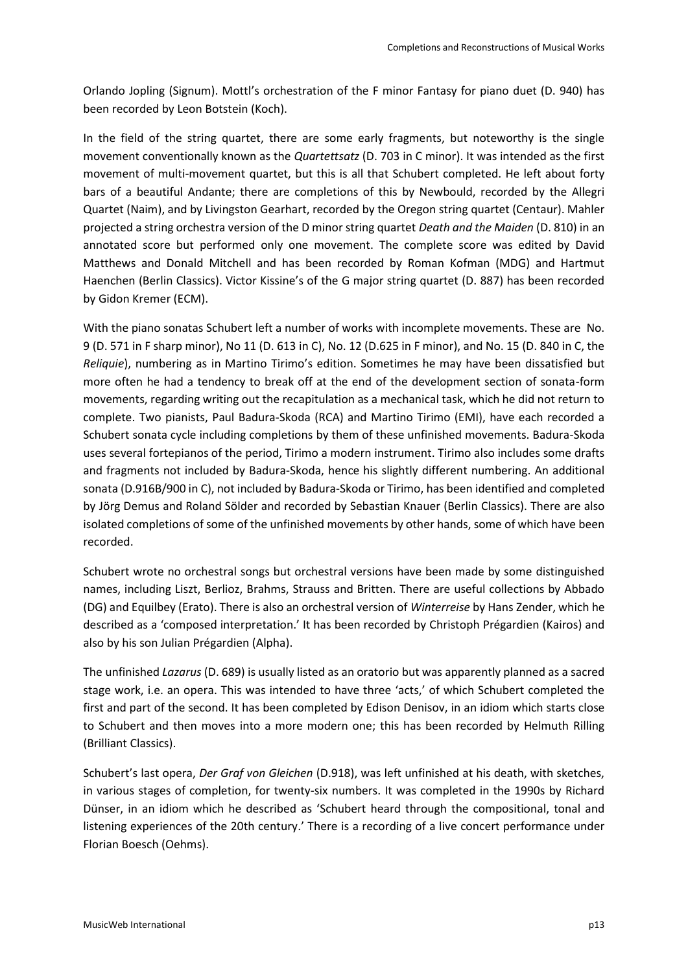Orlando Jopling (Signum). Mottl's orchestration of the F minor Fantasy for piano duet (D. 940) has been recorded by Leon Botstein (Koch).

In the field of the string quartet, there are some early fragments, but noteworthy is the single movement conventionally known as the *Quartettsatz* (D. 703 in C minor). It was intended as the first movement of multi-movement quartet, but this is all that Schubert completed. He left about forty bars of a beautiful Andante; there are completions of this by Newbould, recorded by the Allegri Quartet (Naim), and by Livingston Gearhart, recorded by the Oregon string quartet (Centaur). Mahler projected a string orchestra version of the D minor string quartet *Death and the Maiden* (D. 810) in an annotated score but performed only one movement. The complete score was edited by David Matthews and Donald Mitchell and has been recorded by Roman Kofman (MDG) and Hartmut Haenchen (Berlin Classics). Victor Kissine's of the G major string quartet (D. 887) has been recorded by Gidon Kremer (ECM).

With the piano sonatas Schubert left a number of works with incomplete movements. These are No. 9 (D. 571 in F sharp minor), No 11 (D. 613 in C), No. 12 (D.625 in F minor), and No. 15 (D. 840 in C, the *Reliquie*), numbering as in Martino Tirimo's edition. Sometimes he may have been dissatisfied but more often he had a tendency to break off at the end of the development section of sonata-form movements, regarding writing out the recapitulation as a mechanical task, which he did not return to complete. Two pianists, Paul Badura-Skoda (RCA) and Martino Tirimo (EMI), have each recorded a Schubert sonata cycle including completions by them of these unfinished movements. Badura-Skoda uses several fortepianos of the period, Tirimo a modern instrument. Tirimo also includes some drafts and fragments not included by Badura-Skoda, hence his slightly different numbering. An additional sonata (D.916B/900 in C), not included by Badura-Skoda or Tirimo, has been identified and completed by Jörg Demus and Roland Sölder and recorded by Sebastian Knauer (Berlin Classics). There are also isolated completions of some of the unfinished movements by other hands, some of which have been recorded.

Schubert wrote no orchestral songs but orchestral versions have been made by some distinguished names, including Liszt, Berlioz, Brahms, Strauss and Britten. There are useful collections by Abbado (DG) and Equilbey (Erato). There is also an orchestral version of *Winterreise* by Hans Zender, which he described as a 'composed interpretation.' It has been recorded by Christoph Prégardien (Kairos) and also by his son Julian Prégardien (Alpha).

The unfinished *Lazarus* (D. 689) is usually listed as an oratorio but was apparently planned as a sacred stage work, i.e. an opera. This was intended to have three 'acts,' of which Schubert completed the first and part of the second. It has been completed by Edison Denisov, in an idiom which starts close to Schubert and then moves into a more modern one; this has been recorded by Helmuth Rilling (Brilliant Classics).

Schubert's last opera, *Der Graf von Gleichen* (D.918), was left unfinished at his death, with sketches, in various stages of completion, for twenty-six numbers. It was completed in the 1990s by Richard Dünser, in an idiom which he described as 'Schubert heard through the compositional, tonal and listening experiences of the 20th century.' There is a recording of a live concert performance under Florian Boesch (Oehms).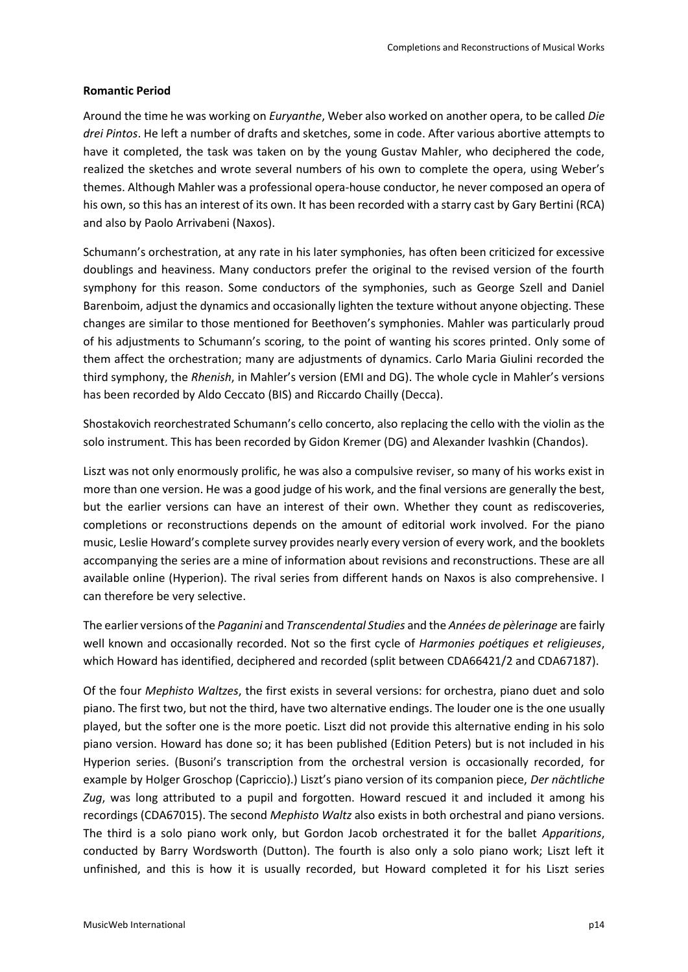### **Romantic Period**

Around the time he was working on *Euryanthe*, Weber also worked on another opera, to be called *Die drei Pintos*. He left a number of drafts and sketches, some in code. After various abortive attempts to have it completed, the task was taken on by the young Gustav Mahler, who deciphered the code, realized the sketches and wrote several numbers of his own to complete the opera, using Weber's themes. Although Mahler was a professional opera-house conductor, he never composed an opera of his own, so this has an interest of its own. It has been recorded with a starry cast by Gary Bertini (RCA) and also by Paolo Arrivabeni (Naxos).

Schumann's orchestration, at any rate in his later symphonies, has often been criticized for excessive doublings and heaviness. Many conductors prefer the original to the revised version of the fourth symphony for this reason. Some conductors of the symphonies, such as George Szell and Daniel Barenboim, adjust the dynamics and occasionally lighten the texture without anyone objecting. These changes are similar to those mentioned for Beethoven's symphonies. Mahler was particularly proud of his adjustments to Schumann's scoring, to the point of wanting his scores printed. Only some of them affect the orchestration; many are adjustments of dynamics. Carlo Maria Giulini recorded the third symphony, the *Rhenish*, in Mahler's version (EMI and DG). The whole cycle in Mahler's versions has been recorded by Aldo Ceccato (BIS) and Riccardo Chailly (Decca).

Shostakovich reorchestrated Schumann's cello concerto, also replacing the cello with the violin as the solo instrument. This has been recorded by Gidon Kremer (DG) and Alexander Ivashkin (Chandos).

Liszt was not only enormously prolific, he was also a compulsive reviser, so many of his works exist in more than one version. He was a good judge of his work, and the final versions are generally the best, but the earlier versions can have an interest of their own. Whether they count as rediscoveries, completions or reconstructions depends on the amount of editorial work involved. For the piano music, Leslie Howard's complete survey provides nearly every version of every work, and the booklets accompanying the series are a mine of information about revisions and reconstructions. These are all available online (Hyperion). The rival series from different hands on Naxos is also comprehensive. I can therefore be very selective.

The earlier versions of the *Paganini* and *Transcendental Studies* and the *Années de pèlerinage* are fairly well known and occasionally recorded. Not so the first cycle of *Harmonies poétiques et religieuses*, which Howard has identified, deciphered and recorded (split between CDA66421/2 and CDA67187).

Of the four *Mephisto Waltzes*, the first exists in several versions: for orchestra, piano duet and solo piano. The first two, but not the third, have two alternative endings. The louder one is the one usually played, but the softer one is the more poetic. Liszt did not provide this alternative ending in his solo piano version. Howard has done so; it has been published (Edition Peters) but is not included in his Hyperion series. (Busoni's transcription from the orchestral version is occasionally recorded, for example by Holger Groschop (Capriccio).) Liszt's piano version of its companion piece, *Der nächtliche Zug*, was long attributed to a pupil and forgotten. Howard rescued it and included it among his recordings (CDA67015). The second *Mephisto Waltz* also exists in both orchestral and piano versions. The third is a solo piano work only, but Gordon Jacob orchestrated it for the ballet *Apparitions*, conducted by Barry Wordsworth (Dutton). The fourth is also only a solo piano work; Liszt left it unfinished, and this is how it is usually recorded, but Howard completed it for his Liszt series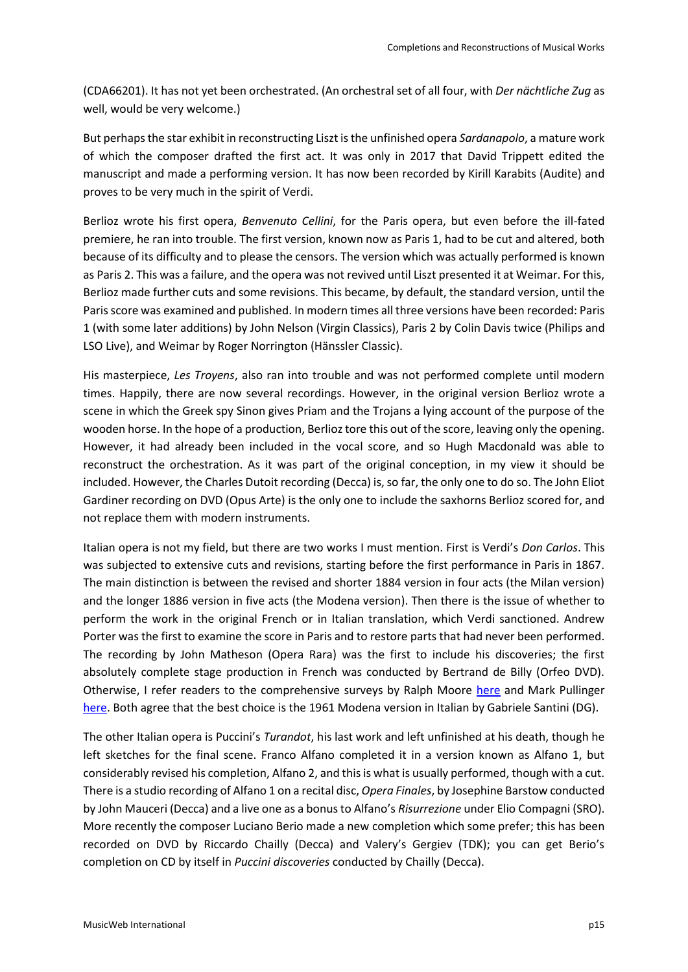(CDA66201). It has not yet been orchestrated. (An orchestral set of all four, with *Der nächtliche Zug* as well, would be very welcome.)

But perhaps the star exhibit in reconstructing Liszt is the unfinished opera *Sardanapolo*, a mature work of which the composer drafted the first act. It was only in 2017 that David Trippett edited the manuscript and made a performing version. It has now been recorded by Kirill Karabits (Audite) and proves to be very much in the spirit of Verdi.

Berlioz wrote his first opera, *Benvenuto Cellini*, for the Paris opera, but even before the ill-fated premiere, he ran into trouble. The first version, known now as Paris 1, had to be cut and altered, both because of its difficulty and to please the censors. The version which was actually performed is known as Paris 2. This was a failure, and the opera was not revived until Liszt presented it at Weimar. For this, Berlioz made further cuts and some revisions. This became, by default, the standard version, until the Paris score was examined and published. In modern times all three versions have been recorded: Paris 1 (with some later additions) by John Nelson (Virgin Classics), Paris 2 by Colin Davis twice (Philips and LSO Live), and Weimar by Roger Norrington (Hänssler Classic).

His masterpiece, *Les Troyens*, also ran into trouble and was not performed complete until modern times. Happily, there are now several recordings. However, in the original version Berlioz wrote a scene in which the Greek spy Sinon gives Priam and the Trojans a lying account of the purpose of the wooden horse. In the hope of a production, Berlioz tore this out of the score, leaving only the opening. However, it had already been included in the vocal score, and so Hugh Macdonald was able to reconstruct the orchestration. As it was part of the original conception, in my view it should be included. However, the Charles Dutoit recording (Decca) is, so far, the only one to do so. The John Eliot Gardiner recording on DVD (Opus Arte) is the only one to include the saxhorns Berlioz scored for, and not replace them with modern instruments.

Italian opera is not my field, but there are two works I must mention. First is Verdi's *Don Carlos*. This was subjected to extensive cuts and revisions, starting before the first performance in Paris in 1867. The main distinction is between the revised and shorter 1884 version in four acts (the Milan version) and the longer 1886 version in five acts (the Modena version). Then there is the issue of whether to perform the work in the original French or in Italian translation, which Verdi sanctioned. Andrew Porter was the first to examine the score in Paris and to restore parts that had never been performed. The recording by John Matheson (Opera Rara) was the first to include his discoveries; the first absolutely complete stage production in French was conducted by Bertrand de Billy (Orfeo DVD). Otherwise, I refer readers to the comprehensive surveys by Ralph Moore [here](http://www.musicweb-international.com/classrev/2018/Jun/Verdi_Carlo_survey.pdf) and Mark Pullinger [here.](https://beckmessersquill.com/2015/12/29/interpretations-on-disc-verdi-don-carlos-irr/) Both agree that the best choice is the 1961 Modena version in Italian by Gabriele Santini (DG).

The other Italian opera is Puccini's *Turandot*, his last work and left unfinished at his death, though he left sketches for the final scene. Franco Alfano completed it in a version known as Alfano 1, but considerably revised his completion, Alfano 2, and this is what is usually performed, though with a cut. There is a studio recording of Alfano 1 on a recital disc, *Opera Finales*, by Josephine Barstow conducted by John Mauceri (Decca) and a live one as a bonus to Alfano's *Risurrezione* under Elio Compagni (SRO). More recently the composer Luciano Berio made a new completion which some prefer; this has been recorded on DVD by Riccardo Chailly (Decca) and Valery's Gergiev (TDK); you can get Berio's completion on CD by itself in *Puccini discoveries* conducted by Chailly (Decca).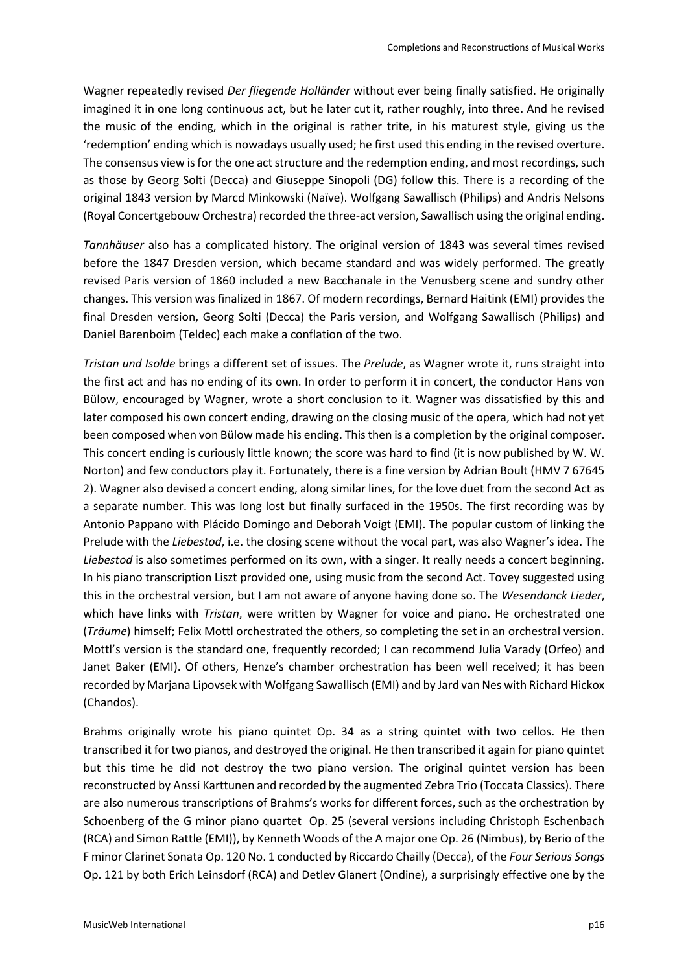Wagner repeatedly revised *Der fliegende Holländer* without ever being finally satisfied. He originally imagined it in one long continuous act, but he later cut it, rather roughly, into three. And he revised the music of the ending, which in the original is rather trite, in his maturest style, giving us the 'redemption' ending which is nowadays usually used; he first used this ending in the revised overture. The consensus view is for the one act structure and the redemption ending, and most recordings, such as those by Georg Solti (Decca) and Giuseppe Sinopoli (DG) follow this. There is a recording of the original 1843 version by Marcd Minkowski (Naïve). Wolfgang Sawallisch (Philips) and Andris Nelsons (Royal Concertgebouw Orchestra) recorded the three-act version, Sawallisch using the original ending.

*Tannhäuser* also has a complicated history. The original version of 1843 was several times revised before the 1847 Dresden version, which became standard and was widely performed. The greatly revised Paris version of 1860 included a new Bacchanale in the Venusberg scene and sundry other changes. This version was finalized in 1867. Of modern recordings, Bernard Haitink (EMI) provides the final Dresden version, Georg Solti (Decca) the Paris version, and Wolfgang Sawallisch (Philips) and Daniel Barenboim (Teldec) each make a conflation of the two.

*Tristan und Isolde* brings a different set of issues. The *Prelude*, as Wagner wrote it, runs straight into the first act and has no ending of its own. In order to perform it in concert, the conductor Hans von Bülow, encouraged by Wagner, wrote a short conclusion to it. Wagner was dissatisfied by this and later composed his own concert ending, drawing on the closing music of the opera, which had not yet been composed when von Bülow made his ending. This then is a completion by the original composer. This concert ending is curiously little known; the score was hard to find (it is now published by W. W. Norton) and few conductors play it. Fortunately, there is a fine version by Adrian Boult (HMV 7 67645 2). Wagner also devised a concert ending, along similar lines, for the love duet from the second Act as a separate number. This was long lost but finally surfaced in the 1950s. The first recording was by Antonio Pappano with Plácido Domingo and Deborah Voigt (EMI). The popular custom of linking the Prelude with the *Liebestod*, i.e. the closing scene without the vocal part, was also Wagner's idea. The *Liebestod* is also sometimes performed on its own, with a singer. It really needs a concert beginning. In his piano transcription Liszt provided one, using music from the second Act. Tovey suggested using this in the orchestral version, but I am not aware of anyone having done so. The *Wesendonck Lieder*, which have links with *Tristan*, were written by Wagner for voice and piano. He orchestrated one (*Träume*) himself; Felix Mottl orchestrated the others, so completing the set in an orchestral version. Mottl's version is the standard one, frequently recorded; I can recommend Julia Varady (Orfeo) and Janet Baker (EMI). Of others, Henze's chamber orchestration has been well received; it has been recorded by Marjana Lipovsek with Wolfgang Sawallisch (EMI) and by Jard van Nes with Richard Hickox (Chandos).

Brahms originally wrote his piano quintet Op. 34 as a string quintet with two cellos. He then transcribed it for two pianos, and destroyed the original. He then transcribed it again for piano quintet but this time he did not destroy the two piano version. The original quintet version has been reconstructed by Anssi Karttunen and recorded by the augmented Zebra Trio (Toccata Classics). There are also numerous transcriptions of Brahms's works for different forces, such as the orchestration by Schoenberg of the G minor piano quartet Op. 25 (several versions including Christoph Eschenbach (RCA) and Simon Rattle (EMI)), by Kenneth Woods of the A major one Op. 26 (Nimbus), by Berio of the F minor Clarinet Sonata Op. 120 No. 1 conducted by Riccardo Chailly (Decca), of the *Four Serious Songs* Op. 121 by both Erich Leinsdorf (RCA) and Detlev Glanert (Ondine), a surprisingly effective one by the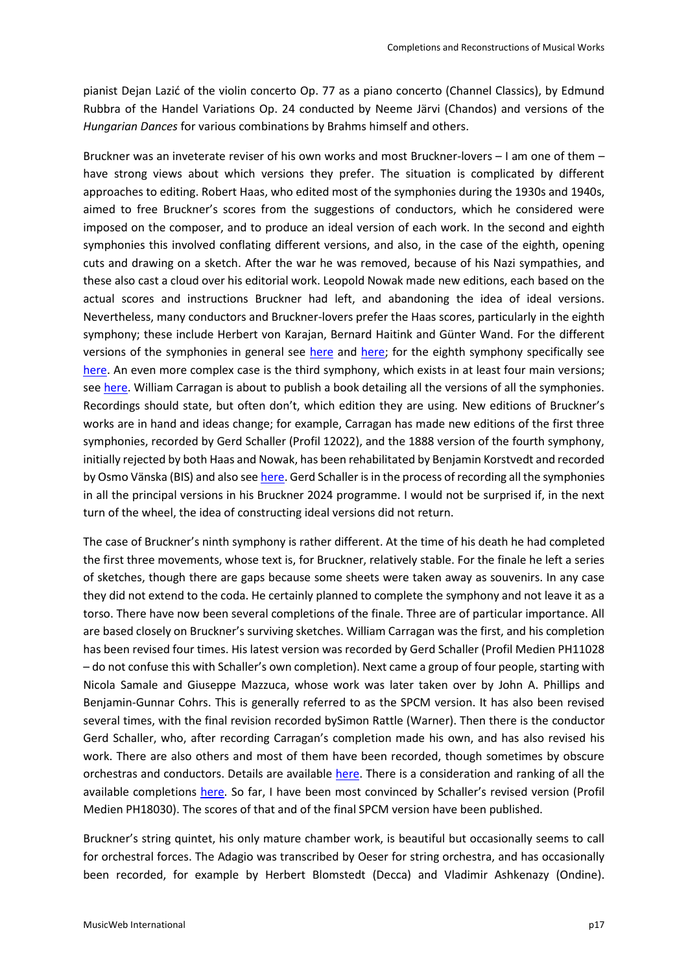pianist Dejan Lazić of the violin concerto Op. 77 as a piano concerto (Channel Classics), by Edmund Rubbra of the Handel Variations Op. 24 conducted by Neeme Järvi (Chandos) and versions of the *Hungarian Dances* for various combinations by Brahms himself and others.

Bruckner was an inveterate reviser of his own works and most Bruckner-lovers – I am one of them – have strong views about which versions they prefer. The situation is complicated by different approaches to editing. Robert Haas, who edited most of the symphonies during the 1930s and 1940s, aimed to free Bruckner's scores from the suggestions of conductors, which he considered were imposed on the composer, and to produce an ideal version of each work. In the second and eighth symphonies this involved conflating different versions, and also, in the case of the eighth, opening cuts and drawing on a sketch. After the war he was removed, because of his Nazi sympathies, and these also cast a cloud over his editorial work. Leopold Nowak made new editions, each based on the actual scores and instructions Bruckner had left, and abandoning the idea of ideal versions. Nevertheless, many conductors and Bruckner-lovers prefer the Haas scores, particularly in the eighth symphony; these include Herbert von Karajan, Bernard Haitink and Günter Wand. For the different versions of the symphonies in general see [here](https://en.wikipedia.org/wiki/Versions_and_editions_of_Bruckner%27s_symphonies) and [here;](https://bruckner.webs.com/versions.html) for the eighth symphony specifically see [here.](https://www.abruckner.com/discography/symphony8incminor/) An even more complex case is the third symphony, which exists in at least four main versions; see [here.](https://en.wikipedia.org/wiki/Symphony_No._3_(Bruckner)) William Carragan is about to publish a book detailing all the versions of all the symphonies. Recordings should state, but often don't, which edition they are using. New editions of Bruckner's works are in hand and ideas change; for example, Carragan has made new editions of the first three symphonies, recorded by Gerd Schaller (Profil 12022), and the 1888 version of the fourth symphony, initially rejected by both Haas and Nowak, has been rehabilitated by Benjamin Korstvedt and recorded by Osmo Vänska (BIS) and also se[e here.](https://en.wikipedia.org/wiki/Symphony_No._4_(Bruckner)#Korstvedt) Gerd Schaller is in the process of recording all the symphonies in all the principal versions in his Bruckner 2024 programme. I would not be surprised if, in the next turn of the wheel, the idea of constructing ideal versions did not return.

The case of Bruckner's ninth symphony is rather different. At the time of his death he had completed the first three movements, whose text is, for Bruckner, relatively stable. For the finale he left a series of sketches, though there are gaps because some sheets were taken away as souvenirs. In any case they did not extend to the coda. He certainly planned to complete the symphony and not leave it as a torso. There have now been several completions of the finale. Three are of particular importance. All are based closely on Bruckner's surviving sketches. William Carragan was the first, and his completion has been revised four times. His latest version was recorded by Gerd Schaller (Profil Medien PH11028 – do not confuse this with Schaller's own completion). Next came a group of four people, starting with Nicola Samale and Giuseppe Mazzuca, whose work was later taken over by John A. Phillips and Benjamin-Gunnar Cohrs. This is generally referred to as the SPCM version. It has also been revised several times, with the final revision recorded bySimon Rattle (Warner). Then there is the conductor Gerd Schaller, who, after recording Carragan's completion made his own, and has also revised his work. There are also others and most of them have been recorded, though sometimes by obscure orchestras and conductors. Details are available [here.](https://en.wikipedia.org/wiki/Symphony_No._9_(Bruckner)#The_incomplete_Finale) There is a consideration and ranking of all the available completions [here](https://www.abruckner.com/articles/articlesEnglish/cooper-trevor-bruckners-final-finale/). So far, I have been most convinced by Schaller's revised version (Profil Medien PH18030). The scores of that and of the final SPCM version have been published.

Bruckner's string quintet, his only mature chamber work, is beautiful but occasionally seems to call for orchestral forces. The Adagio was transcribed by Oeser for string orchestra, and has occasionally been recorded, for example by Herbert Blomstedt (Decca) and Vladimir Ashkenazy (Ondine).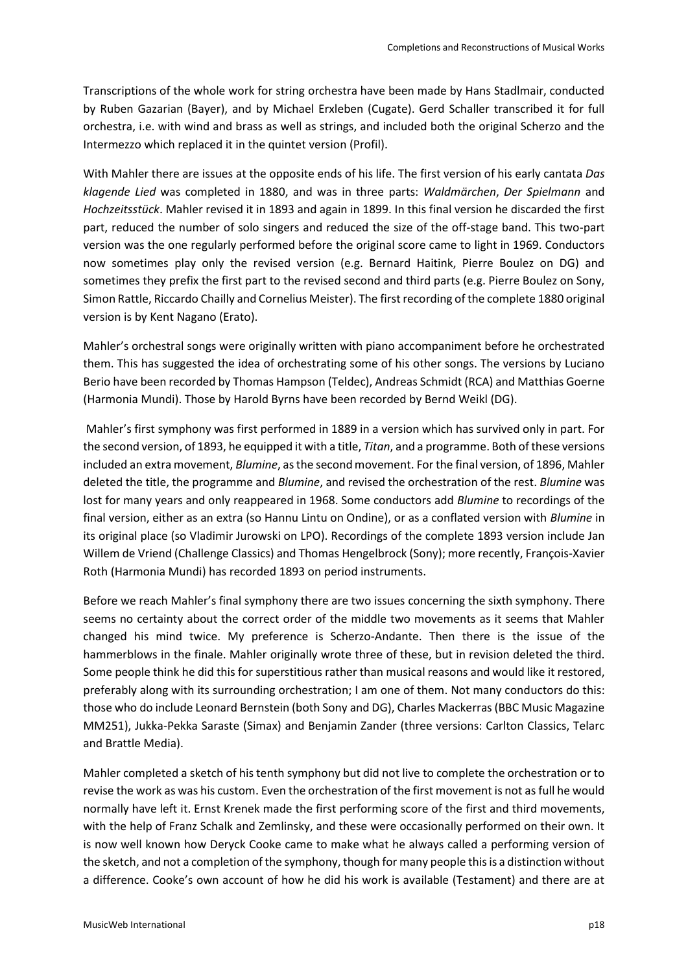Transcriptions of the whole work for string orchestra have been made by Hans Stadlmair, conducted by Ruben Gazarian (Bayer), and by Michael Erxleben (Cugate). Gerd Schaller transcribed it for full orchestra, i.e. with wind and brass as well as strings, and included both the original Scherzo and the Intermezzo which replaced it in the quintet version (Profil).

With Mahler there are issues at the opposite ends of his life. The first version of his early cantata *Das klagende Lied* was completed in 1880, and was in three parts: *Waldmärchen*, *Der Spielmann* and *Hochzeitsstück*. Mahler revised it in 1893 and again in 1899. In this final version he discarded the first part, reduced the number of solo singers and reduced the size of the off-stage band. This two-part version was the one regularly performed before the original score came to light in 1969. Conductors now sometimes play only the revised version (e.g. Bernard Haitink, Pierre Boulez on DG) and sometimes they prefix the first part to the revised second and third parts (e.g. Pierre Boulez on Sony, Simon Rattle, Riccardo Chailly and Cornelius Meister). The first recording of the complete 1880 original version is by Kent Nagano (Erato).

Mahler's orchestral songs were originally written with piano accompaniment before he orchestrated them. This has suggested the idea of orchestrating some of his other songs. The versions by Luciano Berio have been recorded by Thomas Hampson (Teldec), Andreas Schmidt (RCA) and Matthias Goerne (Harmonia Mundi). Those by Harold Byrns have been recorded by Bernd Weikl (DG).

Mahler's first symphony was first performed in 1889 in a version which has survived only in part. For the second version, of 1893, he equipped it with a title, *Titan*, and a programme. Both of these versions included an extra movement, *Blumine*, as the second movement. For the final version, of 1896, Mahler deleted the title, the programme and *Blumine*, and revised the orchestration of the rest. *Blumine* was lost for many years and only reappeared in 1968. Some conductors add *Blumine* to recordings of the final version, either as an extra (so Hannu Lintu on Ondine), or as a conflated version with *Blumine* in its original place (so Vladimir Jurowski on LPO). Recordings of the complete 1893 version include Jan Willem de Vriend (Challenge Classics) and Thomas Hengelbrock (Sony); more recently, François-Xavier Roth (Harmonia Mundi) has recorded 1893 on period instruments.

Before we reach Mahler's final symphony there are two issues concerning the sixth symphony. There seems no certainty about the correct order of the middle two movements as it seems that Mahler changed his mind twice. My preference is Scherzo-Andante. Then there is the issue of the hammerblows in the finale. Mahler originally wrote three of these, but in revision deleted the third. Some people think he did this for superstitious rather than musical reasons and would like it restored, preferably along with its surrounding orchestration; I am one of them. Not many conductors do this: those who do include Leonard Bernstein (both Sony and DG), Charles Mackerras (BBC Music Magazine MM251), Jukka-Pekka Saraste (Simax) and Benjamin Zander (three versions: Carlton Classics, Telarc and Brattle Media).

Mahler completed a sketch of his tenth symphony but did not live to complete the orchestration or to revise the work as was his custom. Even the orchestration of the first movement is not as full he would normally have left it. Ernst Krenek made the first performing score of the first and third movements, with the help of Franz Schalk and Zemlinsky, and these were occasionally performed on their own. It is now well known how Deryck Cooke came to make what he always called a performing version of the sketch, and not a completion of the symphony, though for many people this is a distinction without a difference. Cooke's own account of how he did his work is available (Testament) and there are at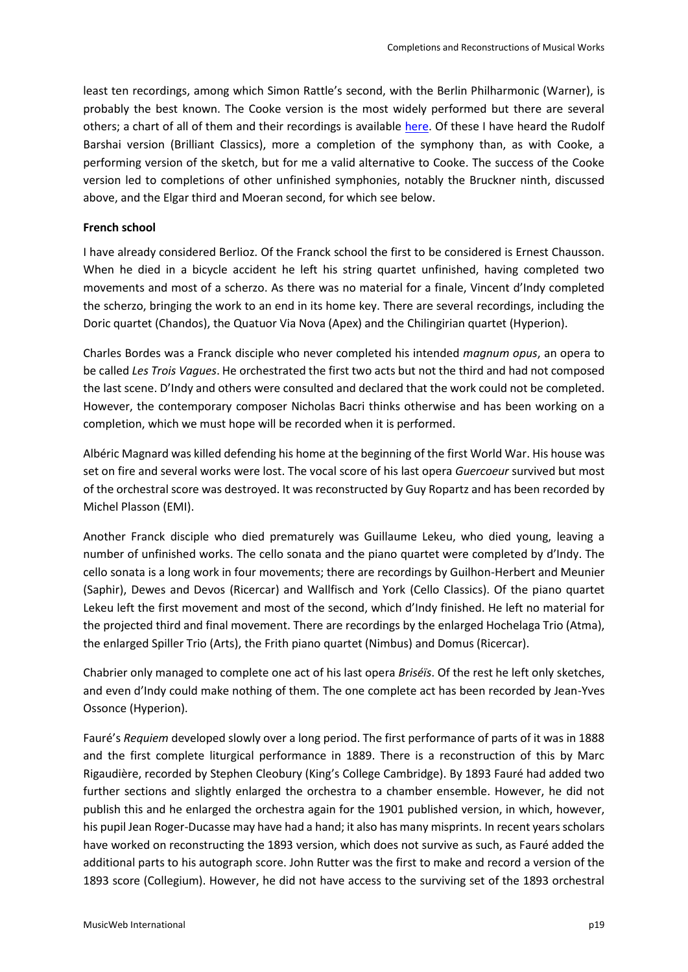least ten recordings, among which Simon Rattle's second, with the Berlin Philharmonic (Warner), is probably the best known. The Cooke version is the most widely performed but there are several others; a chart of all of them and their recordings is available [here.](https://en.wikipedia.org/wiki/Symphony_No._10_(Mahler)) Of these I have heard the Rudolf Barshai version (Brilliant Classics), more a completion of the symphony than, as with Cooke, a performing version of the sketch, but for me a valid alternative to Cooke. The success of the Cooke version led to completions of other unfinished symphonies, notably the Bruckner ninth, discussed above, and the Elgar third and Moeran second, for which see below.

## **French school**

I have already considered Berlioz. Of the Franck school the first to be considered is Ernest Chausson. When he died in a bicycle accident he left his string quartet unfinished, having completed two movements and most of a scherzo. As there was no material for a finale, Vincent d'Indy completed the scherzo, bringing the work to an end in its home key. There are several recordings, including the Doric quartet (Chandos), the Quatuor Via Nova (Apex) and the Chilingirian quartet (Hyperion).

Charles Bordes was a Franck disciple who never completed his intended *magnum opus*, an opera to be called *Les Trois Vagues*. He orchestrated the first two acts but not the third and had not composed the last scene. D'Indy and others were consulted and declared that the work could not be completed. However, the contemporary composer Nicholas Bacri thinks otherwise and has been working on a completion, which we must hope will be recorded when it is performed.

Albéric Magnard was killed defending his home at the beginning of the first World War. His house was set on fire and several works were lost. The vocal score of his last opera *Guercoeur* survived but most of the orchestral score was destroyed. It was reconstructed by Guy Ropartz and has been recorded by Michel Plasson (EMI).

Another Franck disciple who died prematurely was Guillaume Lekeu, who died young, leaving a number of unfinished works. The cello sonata and the piano quartet were completed by d'Indy. The cello sonata is a long work in four movements; there are recordings by Guilhon-Herbert and Meunier (Saphir), Dewes and Devos (Ricercar) and Wallfisch and York (Cello Classics). Of the piano quartet Lekeu left the first movement and most of the second, which d'Indy finished. He left no material for the projected third and final movement. There are recordings by the enlarged Hochelaga Trio (Atma), the enlarged Spiller Trio (Arts), the Frith piano quartet (Nimbus) and Domus (Ricercar).

Chabrier only managed to complete one act of his last opera *Briséïs*. Of the rest he left only sketches, and even d'Indy could make nothing of them. The one complete act has been recorded by Jean-Yves Ossonce (Hyperion).

Fauré's *Requiem* developed slowly over a long period. The first performance of parts of it was in 1888 and the first complete liturgical performance in 1889. There is a reconstruction of this by Marc Rigaudière, recorded by Stephen Cleobury (King's College Cambridge). By 1893 Fauré had added two further sections and slightly enlarged the orchestra to a chamber ensemble. However, he did not publish this and he enlarged the orchestra again for the 1901 published version, in which, however, his pupil Jean Roger-Ducasse may have had a hand; it also has many misprints. In recent years scholars have worked on reconstructing the 1893 version, which does not survive as such, as Fauré added the additional parts to his autograph score. John Rutter was the first to make and record a version of the 1893 score (Collegium). However, he did not have access to the surviving set of the 1893 orchestral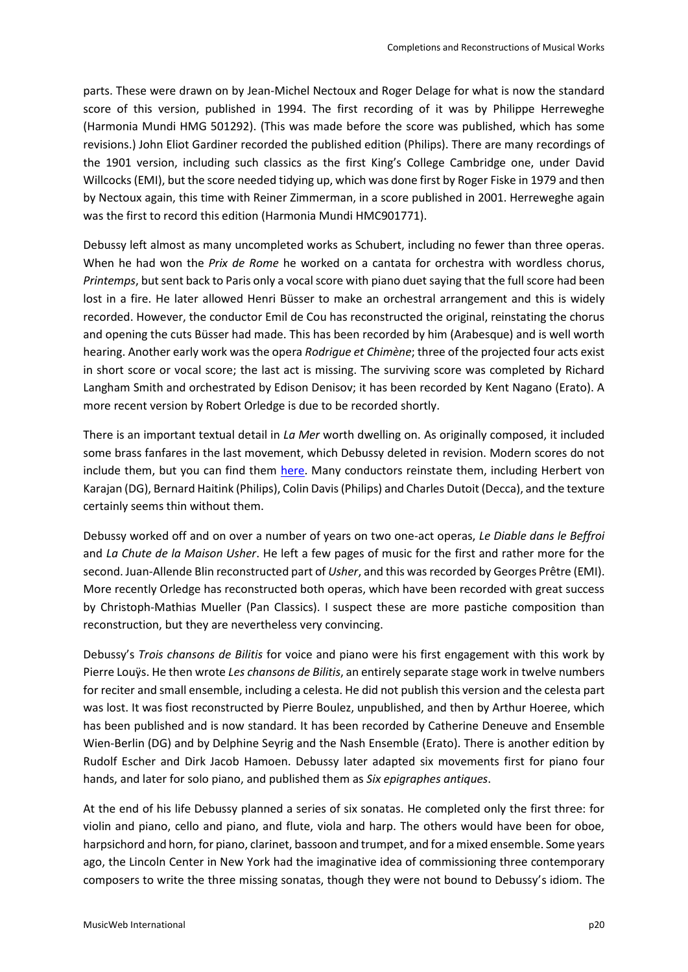parts. These were drawn on by Jean-Michel Nectoux and Roger Delage for what is now the standard score of this version, published in 1994. The first recording of it was by Philippe Herreweghe (Harmonia Mundi HMG 501292). (This was made before the score was published, which has some revisions.) John Eliot Gardiner recorded the published edition (Philips). There are many recordings of the 1901 version, including such classics as the first King's College Cambridge one, under David Willcocks (EMI), but the score needed tidying up, which was done first by Roger Fiske in 1979 and then by Nectoux again, this time with Reiner Zimmerman, in a score published in 2001. Herreweghe again was the first to record this edition (Harmonia Mundi HMC901771).

Debussy left almost as many uncompleted works as Schubert, including no fewer than three operas. When he had won the *Prix de Rome* he worked on a cantata for orchestra with wordless chorus, *Printemps*, but sent back to Paris only a vocal score with piano duet saying that the full score had been lost in a fire. He later allowed Henri Büsser to make an orchestral arrangement and this is widely recorded. However, the conductor Emil de Cou has reconstructed the original, reinstating the chorus and opening the cuts Büsser had made. This has been recorded by him (Arabesque) and is well worth hearing. Another early work was the opera *Rodrigue et Chimène*; three of the projected four acts exist in short score or vocal score; the last act is missing. The surviving score was completed by Richard Langham Smith and orchestrated by Edison Denisov; it has been recorded by Kent Nagano (Erato). A more recent version by Robert Orledge is due to be recorded shortly.

There is an important textual detail in *La Mer* worth dwelling on. As originally composed, it included some brass fanfares in the last movement, which Debussy deleted in revision. Modern scores do not include them, but you can find them [here.](http://www.orchestralibrary.com/Nieweg%20Charts/Debussy-LaMer1905BrassInserts.pdf) Many conductors reinstate them, including Herbert von Karajan (DG), Bernard Haitink (Philips), Colin Davis (Philips) and Charles Dutoit (Decca), and the texture certainly seems thin without them.

Debussy worked off and on over a number of years on two one-act operas, *Le Diable dans le Beffroi*  and *La Chute de la Maison Usher*. He left a few pages of music for the first and rather more for the second. Juan-Allende Blin reconstructed part of *Usher*, and this was recorded by Georges Prêtre (EMI). More recently Orledge has reconstructed both operas, which have been recorded with great success by Christoph-Mathias Mueller (Pan Classics). I suspect these are more pastiche composition than reconstruction, but they are nevertheless very convincing.

Debussy's *Trois chansons de Bilitis* for voice and piano were his first engagement with this work by Pierre Louÿs. He then wrote *Les chansons de Bilitis*, an entirely separate stage work in twelve numbers for reciter and small ensemble, including a celesta. He did not publish this version and the celesta part was lost. It was fiost reconstructed by Pierre Boulez, unpublished, and then by Arthur Hoeree, which has been published and is now standard. It has been recorded by Catherine Deneuve and Ensemble Wien-Berlin (DG) and by Delphine Seyrig and the Nash Ensemble (Erato). There is another edition by Rudolf Escher and Dirk Jacob Hamoen. Debussy later adapted six movements first for piano four hands, and later for solo piano, and published them as *Six epigraphes antiques*.

At the end of his life Debussy planned a series of six sonatas. He completed only the first three: for violin and piano, cello and piano, and flute, viola and harp. The others would have been for oboe, harpsichord and horn, for piano, clarinet, bassoon and trumpet, and for a mixed ensemble. Some years ago, the Lincoln Center in New York had the imaginative idea of commissioning three contemporary composers to write the three missing sonatas, though they were not bound to Debussy's idiom. The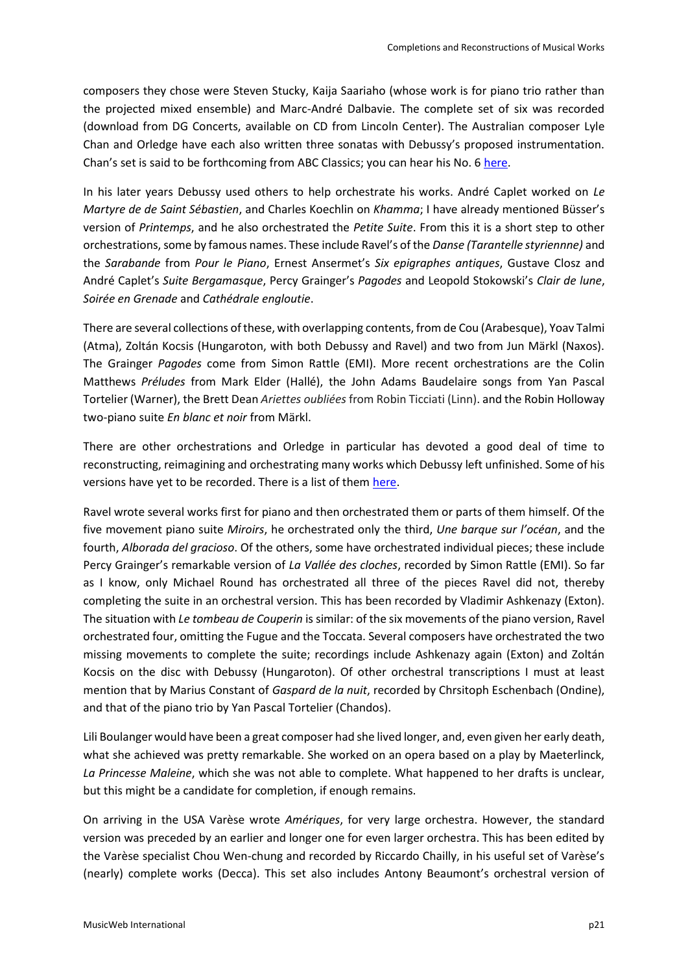composers they chose were Steven Stucky, Kaija Saariaho (whose work is for piano trio rather than the projected mixed ensemble) and Marc-André Dalbavie. The complete set of six was recorded (download from DG Concerts, available on CD from Lincoln Center). The Australian composer Lyle Chan and Orledge have each also written three sonatas with Debussy's proposed instrumentation. Chan's set is said to be forthcoming from ABC Classics; you can hear his No. 6 [here.](https://www.orfium.com/track/743373/sonate-no-6-for-13-instruments-lyle-chan/)

In his later years Debussy used others to help orchestrate his works. André Caplet worked on *Le Martyre de de Saint Sébastien*, and Charles Koechlin on *Khamma*; I have already mentioned Büsser's version of *Printemps*, and he also orchestrated the *Petite Suite*. From this it is a short step to other orchestrations, some by famous names. These include Ravel's of the *Danse (Tarantelle styriennne)* and the *Sarabande* from *Pour le Piano*, Ernest Ansermet's *Six epigraphes antiques*, Gustave Closz and André Caplet's *Suite Bergamasque*, Percy Grainger's *Pagodes* and Leopold Stokowski's *Clair de lune*, *Soirée en Grenade* and *Cathédrale engloutie*.

There are several collections of these, with overlapping contents, from de Cou (Arabesque), Yoav Talmi (Atma), Zoltán Kocsis (Hungaroton, with both Debussy and Ravel) and two from Jun Märkl (Naxos). The Grainger *Pagodes* come from Simon Rattle (EMI). More recent orchestrations are the Colin Matthews *Préludes* from Mark Elder (Hallé), the John Adams Baudelaire songs from Yan Pascal Tortelier (Warner), the Brett Dean *Ariettes oubliées* from Robin Ticciati (Linn). and the Robin Holloway two-piano suite *En blanc et noir* from Märkl.

There are other orchestrations and Orledge in particular has devoted a good deal of time to reconstructing, reimagining and orchestrating many works which Debussy left unfinished. Some of his versions have yet to be recorded. There is a list of the[m here.](https://docs.wixstatic.com/ugd/7677c8_88c57e2ef8194d348cdf3bdbe189b917.pdf)

Ravel wrote several works first for piano and then orchestrated them or parts of them himself. Of the five movement piano suite *Miroirs*, he orchestrated only the third, *Une barque sur l'océan*, and the fourth, *Alborada del gracioso*. Of the others, some have orchestrated individual pieces; these include Percy Grainger's remarkable version of *La Vallée des cloches*, recorded by Simon Rattle (EMI). So far as I know, only Michael Round has orchestrated all three of the pieces Ravel did not, thereby completing the suite in an orchestral version. This has been recorded by Vladimir Ashkenazy (Exton). The situation with *Le tombeau de Couperin* is similar: of the six movements of the piano version, Ravel orchestrated four, omitting the Fugue and the Toccata. Several composers have orchestrated the two missing movements to complete the suite; recordings include Ashkenazy again (Exton) and Zoltán Kocsis on the disc with Debussy (Hungaroton). Of other orchestral transcriptions I must at least mention that by Marius Constant of *Gaspard de la nuit*, recorded by Chrsitoph Eschenbach (Ondine), and that of the piano trio by Yan Pascal Tortelier (Chandos).

Lili Boulanger would have been a great composer had she lived longer, and, even given her early death, what she achieved was pretty remarkable. She worked on an opera based on a play by Maeterlinck, *La Princesse Maleine*, which she was not able to complete. What happened to her drafts is unclear, but this might be a candidate for completion, if enough remains.

On arriving in the USA Varèse wrote *Amériques*, for very large orchestra. However, the standard version was preceded by an earlier and longer one for even larger orchestra. This has been edited by the Varèse specialist Chou Wen-chung and recorded by Riccardo Chailly, in his useful set of Varèse's (nearly) complete works (Decca). This set also includes Antony Beaumont's orchestral version of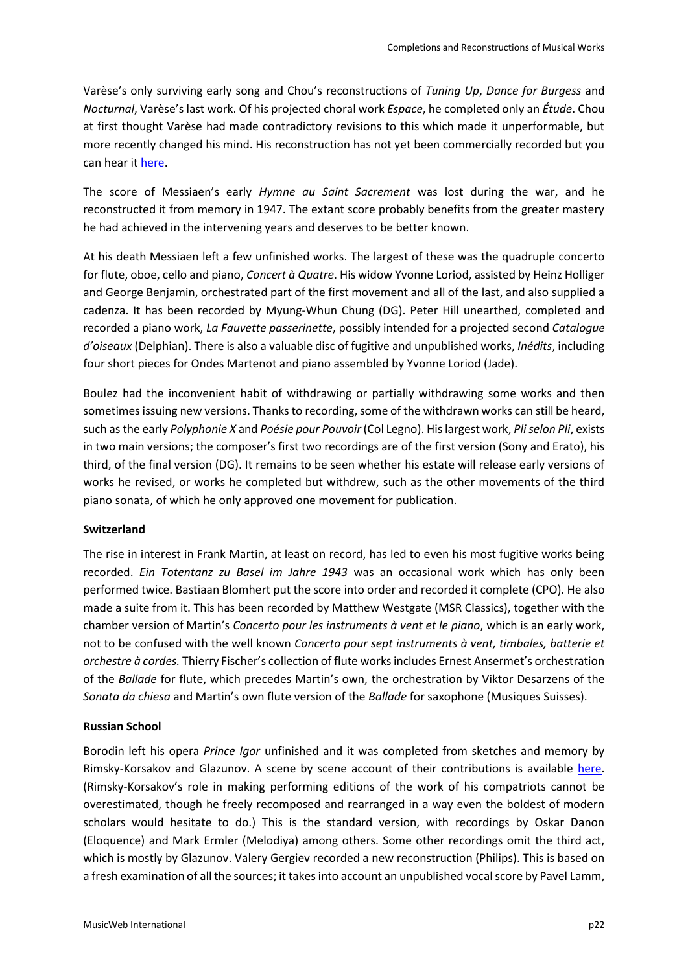Varèse's only surviving early song and Chou's reconstructions of *Tuning Up*, *Dance for Burgess* and *Nocturnal*, Varèse's last work. Of his projected choral work *Espace*, he completed only an *Étude*. Chou at first thought Varèse had made contradictory revisions to this which made it unperformable, but more recently changed his mind. His reconstruction has not yet been commercially recorded but you can hear i[t here.](https://www.youtube.com/watch?v=cGDwpD_t408)

The score of Messiaen's early *Hymne au Saint Sacrement* was lost during the war, and he reconstructed it from memory in 1947. The extant score probably benefits from the greater mastery he had achieved in the intervening years and deserves to be better known.

At his death Messiaen left a few unfinished works. The largest of these was the quadruple concerto for flute, oboe, cello and piano, *Concert à Quatre*. His widow Yvonne Loriod, assisted by Heinz Holliger and George Benjamin, orchestrated part of the first movement and all of the last, and also supplied a cadenza. It has been recorded by Myung-Whun Chung (DG). Peter Hill unearthed, completed and recorded a piano work, *La Fauvette passerinette*, possibly intended for a projected second *Catalogue d'oiseaux* (Delphian). There is also a valuable disc of fugitive and unpublished works, *Inédits*, including four short pieces for Ondes Martenot and piano assembled by Yvonne Loriod (Jade).

Boulez had the inconvenient habit of withdrawing or partially withdrawing some works and then sometimes issuing new versions. Thanks to recording, some of the withdrawn works can still be heard, such as the early *Polyphonie X* and *Poésie pour Pouvoir* (Col Legno). His largest work, *Pli selon Pli*, exists in two main versions; the composer's first two recordings are of the first version (Sony and Erato), his third, of the final version (DG). It remains to be seen whether his estate will release early versions of works he revised, or works he completed but withdrew, such as the other movements of the third piano sonata, of which he only approved one movement for publication.

#### **Switzerland**

The rise in interest in Frank Martin, at least on record, has led to even his most fugitive works being recorded. *Ein Totentanz zu Basel im Jahre 1943* was an occasional work which has only been performed twice. Bastiaan Blomhert put the score into order and recorded it complete (CPO). He also made a suite from it. This has been recorded by Matthew Westgate (MSR Classics), together with the chamber version of Martin's *Concerto pour les instruments à vent et le piano*, which is an early work, not to be confused with the well known *Concerto pour sept instruments à vent, timbales, batterie et orchestre à cordes.* Thierry Fischer's collection of flute works includes Ernest Ansermet's orchestration of the *Ballade* for flute, which precedes Martin's own, the orchestration by Viktor Desarzens of the *Sonata da chiesa* and Martin's own flute version of the *Ballade* for saxophone (Musiques Suisses).

#### **Russian School**

Borodin left his opera *Prince Igor* unfinished and it was completed from sketches and memory by Rimsky-Korsakov and Glazunov. A scene by scene account of their contributions is available [here.](https://en.wikipedia.org/wiki/Prince_Igor) (Rimsky-Korsakov's role in making performing editions of the work of his compatriots cannot be overestimated, though he freely recomposed and rearranged in a way even the boldest of modern scholars would hesitate to do.) This is the standard version, with recordings by Oskar Danon (Eloquence) and Mark Ermler (Melodiya) among others. Some other recordings omit the third act, which is mostly by Glazunov. Valery Gergiev recorded a new reconstruction (Philips). This is based on a fresh examination of all the sources; it takes into account an unpublished vocal score by Pavel Lamm,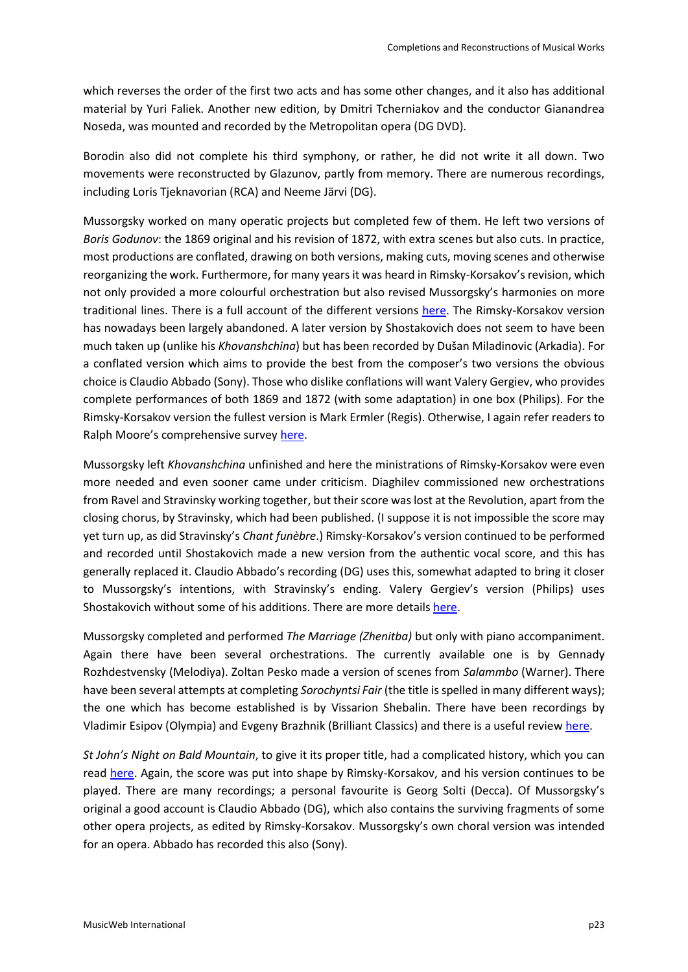which reverses the order of the first two acts and has some other changes, and it also has additional material by Yuri Faliek. Another new edition, by Dmitri Tcherniakov and the conductor Gianandrea Noseda, was mounted and recorded by the Metropolitan opera (DG DVD).

Borodin also did not complete his third symphony, or rather, he did not write it all down. Two movements were reconstructed by Glazunov, partly from memory. There are numerous recordings, including Loris Tjeknavorian (RCA) and Neeme Järvi (DG).

Mussorgsky worked on many operatic projects but completed few of them. He left two versions of *Boris Godunov*: the 1869 original and his revision of 1872, with extra scenes but also cuts. In practice, most productions are conflated, drawing on both versions, making cuts, moving scenes and otherwise reorganizing the work. Furthermore, for many years it was heard in Rimsky-Korsakov's revision, which not only provided a more colourful orchestration but also revised Mussorgsky's harmonies on more traditional lines. There is a full account of the different versions [here.](https://en.wikipedia.org/wiki/Boris_Godunov_(opera)#Versions) The Rimsky-Korsakov version has nowadays been largely abandoned. A later version by Shostakovich does not seem to have been much taken up (unlike his *Khovanshchina*) but has been recorded by Dušan Miladinovic (Arkadia). For a conflated version which aims to provide the best from the composer's two versions the obvious choice is Claudio Abbado (Sony). Those who dislike conflations will want Valery Gergiev, who provides complete performances of both 1869 and 1872 (with some adaptation) in one box (Philips). For the Rimsky-Korsakov version the fullest version is Mark Ermler (Regis). Otherwise, I again refer readers to Ralph Moore's comprehensive survey [here.](http://www.musicweb-international.com/classrev/2019/Feb/Mussorgsky_Boris_Godunov_survey.pdf)

Mussorgsky left *Khovanshchina* unfinished and here the ministrations of Rimsky-Korsakov were even more needed and even sooner came under criticism. Diaghilev commissioned new orchestrations from Ravel and Stravinsky working together, but their score was lost at the Revolution, apart from the closing chorus, by Stravinsky, which had been published. (I suppose it is not impossible the score may yet turn up, as did Stravinsky's *Chant funèbre*.) Rimsky-Korsakov's version continued to be performed and recorded until Shostakovich made a new version from the authentic vocal score, and this has generally replaced it. Claudio Abbado's recording (DG) uses this, somewhat adapted to bring it closer to Mussorgsky's intentions, with Stravinsky's ending. Valery Gergiev's version (Philips) uses Shostakovich without some of his additions. There are more details [here.](https://en.wikipedia.org/wiki/Khovanshchina)

Mussorgsky completed and performed *The Marriage (Zhenitba)* but only with piano accompaniment. Again there have been several orchestrations. The currently available one is by Gennady Rozhdestvensky (Melodiya). Zoltan Pesko made a version of scenes from *Salammbo* (Warner). There have been several attempts at completing *Sorochyntsi Fair* (the title is spelled in many different ways); the one which has become established is by Vissarion Shebalin. There have been recordings by Vladimir Esipov (Olympia) and Evgeny Brazhnik (Brilliant Classics) and there is a useful revie[w here.](http://www.musicweb-international.com/classrev/2014/Apr14/Mussorgsky_Sorochyntsi_PACO053.htm)

*St John's Night on Bald Mountain*, to give it its proper title, had a complicated history, which you can read [here.](https://en.wikipedia.org/wiki/Night_on_Bald_Mountain) Again, the score was put into shape by Rimsky-Korsakov, and his version continues to be played. There are many recordings; a personal favourite is Georg Solti (Decca). Of Mussorgsky's original a good account is Claudio Abbado (DG), which also contains the surviving fragments of some other opera projects, as edited by Rimsky-Korsakov. Mussorgsky's own choral version was intended for an opera. Abbado has recorded this also (Sony).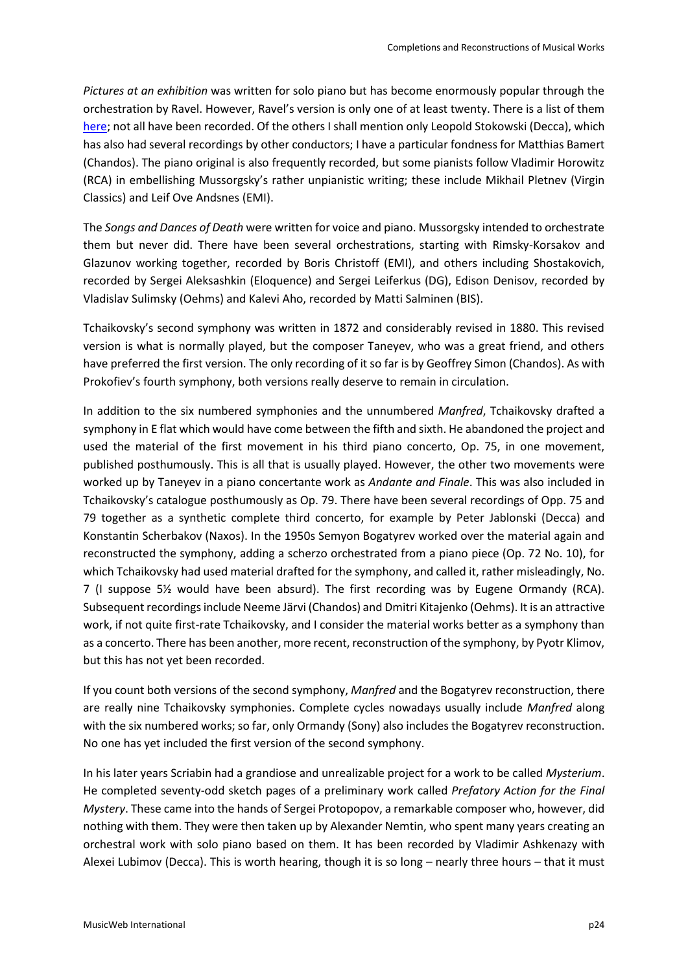*Pictures at an exhibition* was written for solo piano but has become enormously popular through the orchestration by Ravel. However, Ravel's version is only one of at least twenty. There is a list of them [here;](https://en.wikipedia.org/wiki/Pictures_at_an_Exhibition) not all have been recorded. Of the others I shall mention only Leopold Stokowski (Decca), which has also had several recordings by other conductors; I have a particular fondness for Matthias Bamert (Chandos). The piano original is also frequently recorded, but some pianists follow Vladimir Horowitz (RCA) in embellishing Mussorgsky's rather unpianistic writing; these include Mikhail Pletnev (Virgin Classics) and Leif Ove Andsnes (EMI).

The *Songs and Dances of Death* were written for voice and piano. Mussorgsky intended to orchestrate them but never did. There have been several orchestrations, starting with Rimsky-Korsakov and Glazunov working together, recorded by Boris Christoff (EMI), and others including Shostakovich, recorded by Sergei Aleksashkin (Eloquence) and Sergei Leiferkus (DG), Edison Denisov, recorded by Vladislav Sulimsky (Oehms) and Kalevi Aho, recorded by Matti Salminen (BIS).

Tchaikovsky's second symphony was written in 1872 and considerably revised in 1880. This revised version is what is normally played, but the composer Taneyev, who was a great friend, and others have preferred the first version. The only recording of it so far is by Geoffrey Simon (Chandos). As with Prokofiev's fourth symphony, both versions really deserve to remain in circulation.

In addition to the six numbered symphonies and the unnumbered *Manfred*, Tchaikovsky drafted a symphony in E flat which would have come between the fifth and sixth. He abandoned the project and used the material of the first movement in his third piano concerto, Op. 75, in one movement, published posthumously. This is all that is usually played. However, the other two movements were worked up by Taneyev in a piano concertante work as *Andante and Finale*. This was also included in Tchaikovsky's catalogue posthumously as Op. 79. There have been several recordings of Opp. 75 and 79 together as a synthetic complete third concerto, for example by Peter Jablonski (Decca) and Konstantin Scherbakov (Naxos). In the 1950s Semyon Bogatyrev worked over the material again and reconstructed the symphony, adding a scherzo orchestrated from a piano piece (Op. 72 No. 10), for which Tchaikovsky had used material drafted for the symphony, and called it, rather misleadingly, No. 7 (I suppose 5½ would have been absurd). The first recording was by Eugene Ormandy (RCA). Subsequent recordings include Neeme Järvi (Chandos) and Dmitri Kitajenko (Oehms). It is an attractive work, if not quite first-rate Tchaikovsky, and I consider the material works better as a symphony than as a concerto. There has been another, more recent, reconstruction of the symphony, by Pyotr Klimov, but this has not yet been recorded.

If you count both versions of the second symphony, *Manfred* and the Bogatyrev reconstruction, there are really nine Tchaikovsky symphonies. Complete cycles nowadays usually include *Manfred* along with the six numbered works; so far, only Ormandy (Sony) also includes the Bogatyrev reconstruction. No one has yet included the first version of the second symphony.

In his later years Scriabin had a grandiose and unrealizable project for a work to be called *Mysterium*. He completed seventy-odd sketch pages of a preliminary work called *Prefatory Action for the Final Mystery*. These came into the hands of Sergei Protopopov, a remarkable composer who, however, did nothing with them. They were then taken up by Alexander Nemtin, who spent many years creating an orchestral work with solo piano based on them. It has been recorded by Vladimir Ashkenazy with Alexei Lubimov (Decca). This is worth hearing, though it is so long – nearly three hours – that it must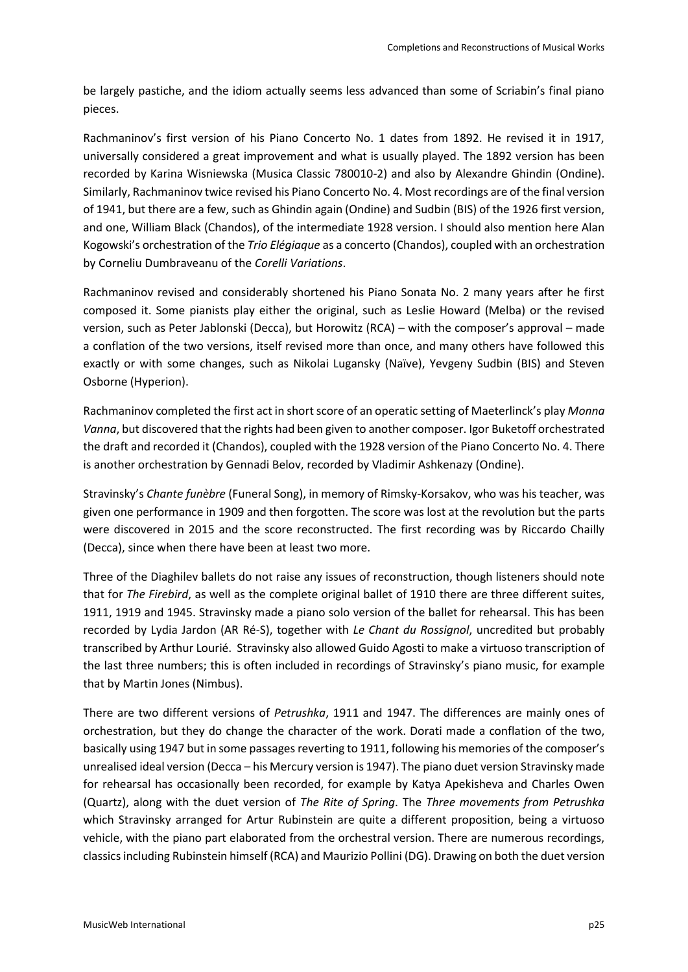be largely pastiche, and the idiom actually seems less advanced than some of Scriabin's final piano pieces.

Rachmaninov's first version of his Piano Concerto No. 1 dates from 1892. He revised it in 1917, universally considered a great improvement and what is usually played. The 1892 version has been recorded by Karina Wisniewska (Musica Classic 780010-2) and also by Alexandre Ghindin (Ondine). Similarly, Rachmaninov twice revised his Piano Concerto No. 4. Most recordings are of the final version of 1941, but there are a few, such as Ghindin again (Ondine) and Sudbin (BIS) of the 1926 first version, and one, William Black (Chandos), of the intermediate 1928 version. I should also mention here Alan Kogowski's orchestration of the *Trio Elégiaque* as a concerto (Chandos), coupled with an orchestration by Corneliu Dumbraveanu of the *Corelli Variations*.

Rachmaninov revised and considerably shortened his Piano Sonata No. 2 many years after he first composed it. Some pianists play either the original, such as Leslie Howard (Melba) or the revised version, such as Peter Jablonski (Decca), but Horowitz (RCA) – with the composer's approval – made a conflation of the two versions, itself revised more than once, and many others have followed this exactly or with some changes, such as Nikolai Lugansky (Naïve), Yevgeny Sudbin (BIS) and Steven Osborne (Hyperion).

Rachmaninov completed the first act in short score of an operatic setting of Maeterlinck's play *Monna Vanna*, but discovered that the rights had been given to another composer. Igor Buketoff orchestrated the draft and recorded it (Chandos), coupled with the 1928 version of the Piano Concerto No. 4. There is another orchestration by Gennadi Belov, recorded by Vladimir Ashkenazy (Ondine).

Stravinsky's *Chante funèbre* (Funeral Song), in memory of Rimsky-Korsakov, who was his teacher, was given one performance in 1909 and then forgotten. The score was lost at the revolution but the parts were discovered in 2015 and the score reconstructed. The first recording was by Riccardo Chailly (Decca), since when there have been at least two more.

Three of the Diaghilev ballets do not raise any issues of reconstruction, though listeners should note that for *The Firebird*, as well as the complete original ballet of 1910 there are three different suites, 1911, 1919 and 1945. Stravinsky made a piano solo version of the ballet for rehearsal. This has been recorded by Lydia Jardon (AR Ré-S), together with *Le Chant du Rossignol*, uncredited but probably transcribed by Arthur Lourié. Stravinsky also allowed Guido Agosti to make a virtuoso transcription of the last three numbers; this is often included in recordings of Stravinsky's piano music, for example that by Martin Jones (Nimbus).

There are two different versions of *Petrushka*, 1911 and 1947. The differences are mainly ones of orchestration, but they do change the character of the work. Dorati made a conflation of the two, basically using 1947 but in some passages reverting to 1911, following his memories of the composer's unrealised ideal version (Decca – his Mercury version is 1947). The piano duet version Stravinsky made for rehearsal has occasionally been recorded, for example by Katya Apekisheva and Charles Owen (Quartz), along with the duet version of *The Rite of Spring*. The *Three movements from Petrushka* which Stravinsky arranged for Artur Rubinstein are quite a different proposition, being a virtuoso vehicle, with the piano part elaborated from the orchestral version. There are numerous recordings, classics including Rubinstein himself (RCA) and Maurizio Pollini (DG). Drawing on both the duet version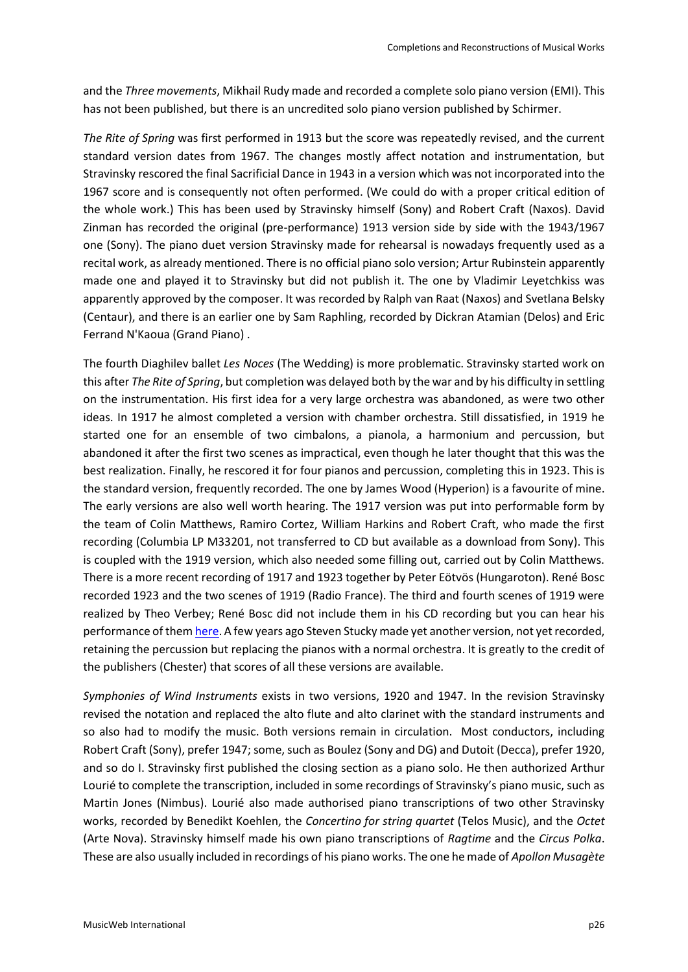and the *Three movements*, Mikhail Rudy made and recorded a complete solo piano version (EMI). This has not been published, but there is an uncredited solo piano version published by Schirmer.

*The Rite of Spring* was first performed in 1913 but the score was repeatedly revised, and the current standard version dates from 1967. The changes mostly affect notation and instrumentation, but Stravinsky rescored the final Sacrificial Dance in 1943 in a version which was not incorporated into the 1967 score and is consequently not often performed. (We could do with a proper critical edition of the whole work.) This has been used by Stravinsky himself (Sony) and Robert Craft (Naxos). David Zinman has recorded the original (pre-performance) 1913 version side by side with the 1943/1967 one (Sony). The piano duet version Stravinsky made for rehearsal is nowadays frequently used as a recital work, as already mentioned. There is no official piano solo version; Artur Rubinstein apparently made one and played it to Stravinsky but did not publish it. The one by Vladimir Leyetchkiss was apparently approved by the composer. It was recorded by Ralph van Raat (Naxos) and Svetlana Belsky (Centaur), and there is an earlier one by Sam Raphling, recorded by Dickran Atamian (Delos) and Eric Ferrand N'Kaoua (Grand Piano) .

The fourth Diaghilev ballet *Les Noces* (The Wedding) is more problematic. Stravinsky started work on this after *The Rite of Spring*, but completion was delayed both by the war and by his difficulty in settling on the instrumentation. His first idea for a very large orchestra was abandoned, as were two other ideas. In 1917 he almost completed a version with chamber orchestra. Still dissatisfied, in 1919 he started one for an ensemble of two cimbalons, a pianola, a harmonium and percussion, but abandoned it after the first two scenes as impractical, even though he later thought that this was the best realization. Finally, he rescored it for four pianos and percussion, completing this in 1923. This is the standard version, frequently recorded. The one by James Wood (Hyperion) is a favourite of mine. The early versions are also well worth hearing. The 1917 version was put into performable form by the team of Colin Matthews, Ramiro Cortez, William Harkins and Robert Craft, who made the first recording (Columbia LP M33201, not transferred to CD but available as a download from Sony). This is coupled with the 1919 version, which also needed some filling out, carried out by Colin Matthews. There is a more recent recording of 1917 and 1923 together by Peter Eötvös (Hungaroton). René Bosc recorded 1923 and the two scenes of 1919 (Radio France). The third and fourth scenes of 1919 were realized by Theo Verbey; René Bosc did not include them in his CD recording but you can hear his performance of the[m here.](https://www.youtube.com/watch?v=RWbzTTEq_Lc) A few years ago Steven Stucky made yet another version, not yet recorded, retaining the percussion but replacing the pianos with a normal orchestra. It is greatly to the credit of the publishers (Chester) that scores of all these versions are available.

*Symphonies of Wind Instruments* exists in two versions, 1920 and 1947. In the revision Stravinsky revised the notation and replaced the alto flute and alto clarinet with the standard instruments and so also had to modify the music. Both versions remain in circulation. Most conductors, including Robert Craft (Sony), prefer 1947; some, such as Boulez (Sony and DG) and Dutoit (Decca), prefer 1920, and so do I. Stravinsky first published the closing section as a piano solo. He then authorized Arthur Lourié to complete the transcription, included in some recordings of Stravinsky's piano music, such as Martin Jones (Nimbus). Lourié also made authorised piano transcriptions of two other Stravinsky works, recorded by Benedikt Koehlen, the *Concertino for string quartet* (Telos Music), and the *Octet*  (Arte Nova). Stravinsky himself made his own piano transcriptions of *Ragtime* and the *Circus Polka*. These are also usually included in recordings of his piano works. The one he made of *Apollon Musagète*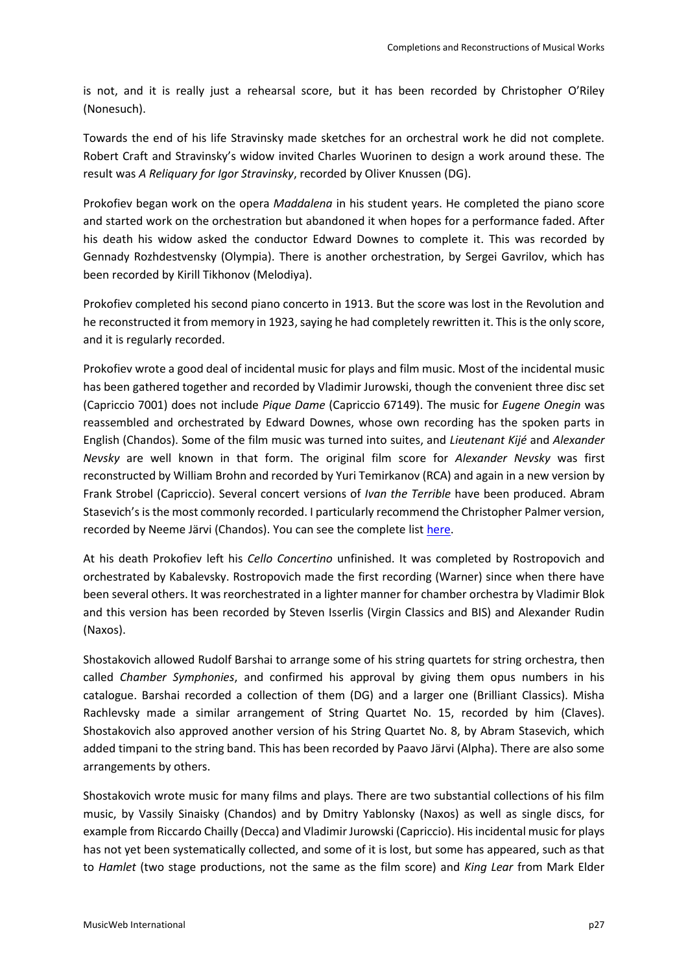is not, and it is really just a rehearsal score, but it has been recorded by Christopher O'Riley (Nonesuch).

Towards the end of his life Stravinsky made sketches for an orchestral work he did not complete. Robert Craft and Stravinsky's widow invited Charles Wuorinen to design a work around these. The result was *A Reliquary for Igor Stravinsky*, recorded by Oliver Knussen (DG).

Prokofiev began work on the opera *Maddalena* in his student years. He completed the piano score and started work on the orchestration but abandoned it when hopes for a performance faded. After his death his widow asked the conductor Edward Downes to complete it. This was recorded by Gennady Rozhdestvensky (Olympia). There is another orchestration, by Sergei Gavrilov, which has been recorded by Kirill Tikhonov (Melodiya).

Prokofiev completed his second piano concerto in 1913. But the score was lost in the Revolution and he reconstructed it from memory in 1923, saying he had completely rewritten it. This is the only score, and it is regularly recorded.

Prokofiev wrote a good deal of incidental music for plays and film music. Most of the incidental music has been gathered together and recorded by Vladimir Jurowski, though the convenient three disc set (Capriccio 7001) does not include *Pique Dame* (Capriccio 67149). The music for *Eugene Onegin* was reassembled and orchestrated by Edward Downes, whose own recording has the spoken parts in English (Chandos). Some of the film music was turned into suites, and *Lieutenant Kijé* and *Alexander Nevsky* are well known in that form. The original film score for *Alexander Nevsky* was first reconstructed by William Brohn and recorded by Yuri Temirkanov (RCA) and again in a new version by Frank Strobel (Capriccio). Several concert versions of *Ivan the Terrible* have been produced. Abram Stasevich's is the most commonly recorded. I particularly recommend the Christopher Palmer version, recorded by Neeme Järvi (Chandos). You can see the complete list [here.](https://en.wikipedia.org/wiki/Ivan_the_Terrible_(Prokofiev))

At his death Prokofiev left his *Cello Concertino* unfinished. It was completed by Rostropovich and orchestrated by Kabalevsky. Rostropovich made the first recording (Warner) since when there have been several others. It was reorchestrated in a lighter manner for chamber orchestra by Vladimir Blok and this version has been recorded by Steven Isserlis (Virgin Classics and BIS) and Alexander Rudin (Naxos).

Shostakovich allowed Rudolf Barshai to arrange some of his string quartets for string orchestra, then called *Chamber Symphonies*, and confirmed his approval by giving them opus numbers in his catalogue. Barshai recorded a collection of them (DG) and a larger one (Brilliant Classics). Misha Rachlevsky made a similar arrangement of String Quartet No. 15, recorded by him (Claves). Shostakovich also approved another version of his String Quartet No. 8, by Abram Stasevich, which added timpani to the string band. This has been recorded by Paavo Järvi (Alpha). There are also some arrangements by others.

Shostakovich wrote music for many films and plays. There are two substantial collections of his film music, by Vassily Sinaisky (Chandos) and by Dmitry Yablonsky (Naxos) as well as single discs, for example from Riccardo Chailly (Decca) and Vladimir Jurowski (Capriccio). His incidental music for plays has not yet been systematically collected, and some of it is lost, but some has appeared, such as that to *Hamlet* (two stage productions, not the same as the film score) and *King Lear* from Mark Elder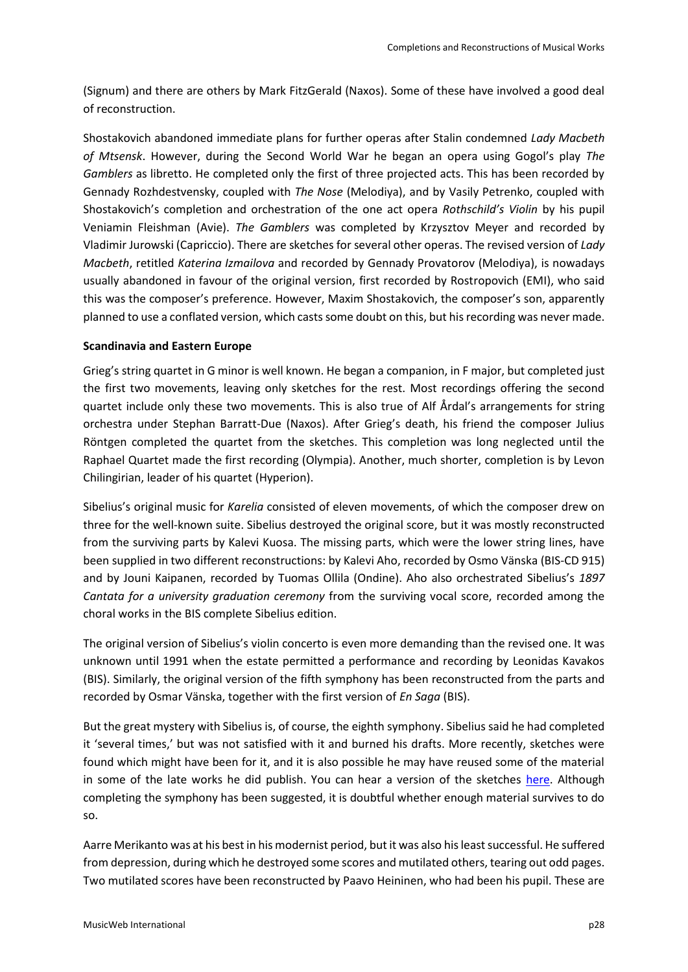(Signum) and there are others by Mark FitzGerald (Naxos). Some of these have involved a good deal of reconstruction.

Shostakovich abandoned immediate plans for further operas after Stalin condemned *Lady Macbeth of Mtsensk*. However, during the Second World War he began an opera using Gogol's play *The Gamblers* as libretto. He completed only the first of three projected acts. This has been recorded by Gennady Rozhdestvensky, coupled with *The Nose* (Melodiya), and by Vasily Petrenko, coupled with Shostakovich's completion and orchestration of the one act opera *Rothschild's Violin* by his pupil Veniamin Fleishman (Avie). *The Gamblers* was completed by Krzysztov Meyer and recorded by Vladimir Jurowski (Capriccio). There are sketches for several other operas. The revised version of *Lady Macbeth*, retitled *Katerina Izmailova* and recorded by Gennady Provatorov (Melodiya), is nowadays usually abandoned in favour of the original version, first recorded by Rostropovich (EMI), who said this was the composer's preference. However, Maxim Shostakovich, the composer's son, apparently planned to use a conflated version, which casts some doubt on this, but his recording was never made.

# **Scandinavia and Eastern Europe**

Grieg's string quartet in G minor is well known. He began a companion, in F major, but completed just the first two movements, leaving only sketches for the rest. Most recordings offering the second quartet include only these two movements. This is also true of Alf Årdal's arrangements for string orchestra under Stephan Barratt-Due (Naxos). After Grieg's death, his friend the composer Julius Röntgen completed the quartet from the sketches. This completion was long neglected until the Raphael Quartet made the first recording (Olympia). Another, much shorter, completion is by Levon Chilingirian, leader of his quartet (Hyperion).

Sibelius's original music for *Karelia* consisted of eleven movements, of which the composer drew on three for the well-known suite. Sibelius destroyed the original score, but it was mostly reconstructed from the surviving parts by Kalevi Kuosa. The missing parts, which were the lower string lines, have been supplied in two different reconstructions: by Kalevi Aho, recorded by Osmo Vänska (BIS-CD 915) and by Jouni Kaipanen, recorded by Tuomas Ollila (Ondine). Aho also orchestrated Sibelius's *1897 Cantata for a university graduation ceremony* from the surviving vocal score, recorded among the choral works in the BIS complete Sibelius edition.

The original version of Sibelius's violin concerto is even more demanding than the revised one. It was unknown until 1991 when the estate permitted a performance and recording by Leonidas Kavakos (BIS). Similarly, the original version of the fifth symphony has been reconstructed from the parts and recorded by Osmar Vänska, together with the first version of *En Saga* (BIS).

But the great mystery with Sibelius is, of course, the eighth symphony. Sibelius said he had completed it 'several times,' but was not satisfied with it and burned his drafts. More recently, sketches were found which might have been for it, and it is also possible he may have reused some of the material in some of the late works he did publish. You can hear a version of the sketches [here.](https://www.youtube.com/watch?v=HmIGn97BXs8) Although completing the symphony has been suggested, it is doubtful whether enough material survives to do so.

Aarre Merikanto was at his best in his modernist period, but it was also his least successful. He suffered from depression, during which he destroyed some scores and mutilated others, tearing out odd pages. Two mutilated scores have been reconstructed by Paavo Heininen, who had been his pupil. These are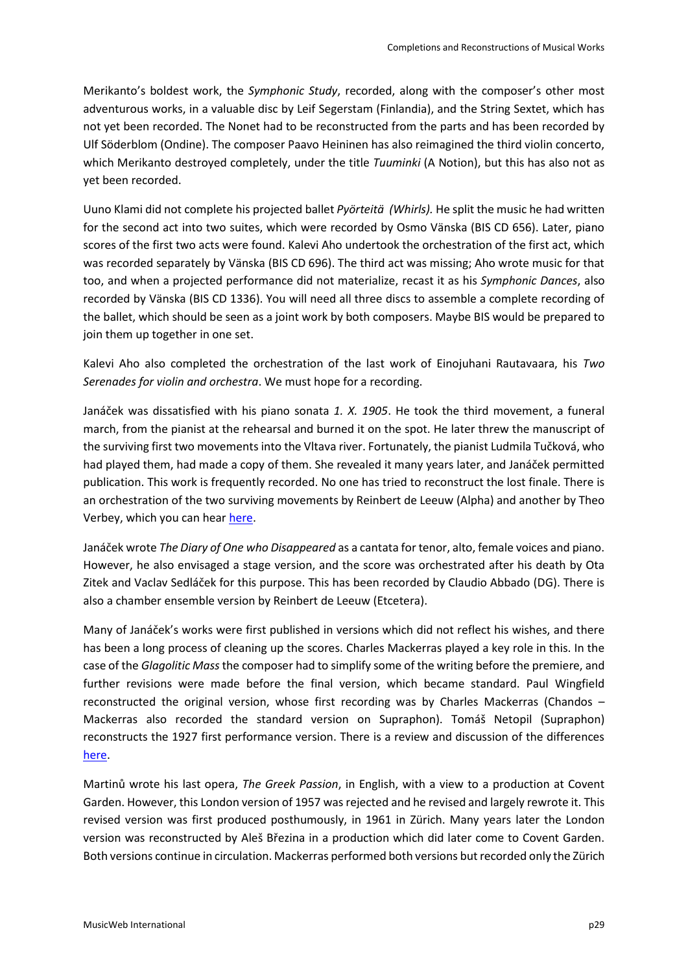Merikanto's boldest work, the *Symphonic Study*, recorded, along with the composer's other most adventurous works, in a valuable disc by Leif Segerstam (Finlandia), and the String Sextet, which has not yet been recorded. The Nonet had to be reconstructed from the parts and has been recorded by Ulf Söderblom (Ondine). The composer Paavo Heininen has also reimagined the third violin concerto, which Merikanto destroyed completely, under the title *Tuuminki* (A Notion), but this has also not as yet been recorded.

Uuno Klami did not complete his projected ballet *Pyörteitä (Whirls).* He split the music he had written for the second act into two suites, which were recorded by Osmo Vänska (BIS CD 656). Later, piano scores of the first two acts were found. Kalevi Aho undertook the orchestration of the first act, which was recorded separately by Vänska (BIS CD 696). The third act was missing; Aho wrote music for that too, and when a projected performance did not materialize, recast it as his *Symphonic Dances*, also recorded by Vänska (BIS CD 1336). You will need all three discs to assemble a complete recording of the ballet, which should be seen as a joint work by both composers. Maybe BIS would be prepared to join them up together in one set.

Kalevi Aho also completed the orchestration of the last work of Einojuhani Rautavaara, his *Two Serenades for violin and orchestra*. We must hope for a recording.

Janáček was dissatisfied with his piano sonata *1. X. 1905*. He took the third movement, a funeral march, from the pianist at the rehearsal and burned it on the spot. He later threw the manuscript of the surviving first two movements into the Vltava river. Fortunately, the pianist Ludmila Tučková, who had played them, had made a copy of them. She revealed it many years later, and Janáček permitted publication. This work is frequently recorded. No one has tried to reconstruct the lost finale. There is an orchestration of the two surviving movements by Reinbert de Leeuw (Alpha) and another by Theo Verbey, which you can hear [here.](http://www.theoverbey.com/web/music_details.aspx?ItemId=144992)

Janáček wrote *The Diary of One who Disappeared* as a cantata for tenor, alto, female voices and piano. However, he also envisaged a stage version, and the score was orchestrated after his death by Ota Zitek and Vaclav Sedláček for this purpose. This has been recorded by Claudio Abbado (DG). There is also a chamber ensemble version by Reinbert de Leeuw (Etcetera).

Many of Janáček's works were first published in versions which did not reflect his wishes, and there has been a long process of cleaning up the scores. Charles Mackerras played a key role in this. In the case of the *Glagolitic Mass*the composer had to simplify some of the writing before the premiere, and further revisions were made before the final version, which became standard. Paul Wingfield reconstructed the original version, whose first recording was by Charles Mackerras (Chandos – Mackerras also recorded the standard version on Supraphon). Tomáš Netopil (Supraphon) reconstructs the 1927 first performance version. There is a review and discussion of the differences [here.](http://www.musicweb-international.com/classrev/2015/Feb/Janacek_glagolitic_SU41502.htm)

Martinů wrote his last opera, *The Greek Passion*, in English, with a view to a production at Covent Garden. However, this London version of 1957 was rejected and he revised and largely rewrote it. This revised version was first produced posthumously, in 1961 in Zürich. Many years later the London version was reconstructed by Aleš Březina in a production which did later come to Covent Garden. Both versions continue in circulation. Mackerras performed both versions but recorded only the Zürich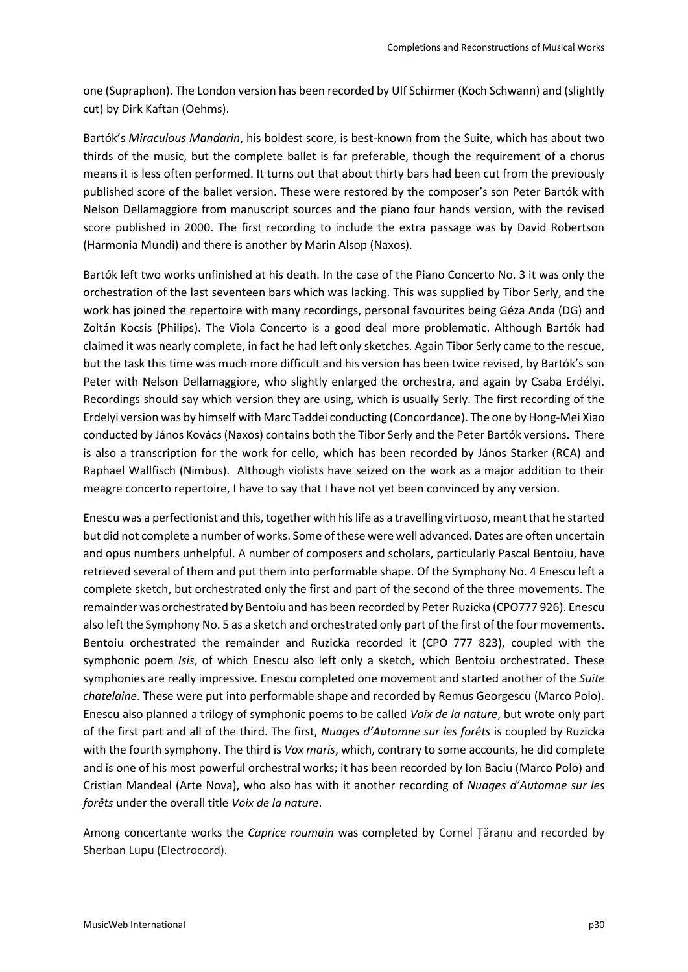one (Supraphon). The London version has been recorded by Ulf Schirmer (Koch Schwann) and (slightly cut) by Dirk Kaftan (Oehms).

Bartók's *Miraculous Mandarin*, his boldest score, is best-known from the Suite, which has about two thirds of the music, but the complete ballet is far preferable, though the requirement of a chorus means it is less often performed. It turns out that about thirty bars had been cut from the previously published score of the ballet version. These were restored by the composer's son Peter Bartók with Nelson Dellamaggiore from manuscript sources and the piano four hands version, with the revised score published in 2000. The first recording to include the extra passage was by David Robertson (Harmonia Mundi) and there is another by Marin Alsop (Naxos).

Bartók left two works unfinished at his death. In the case of the Piano Concerto No. 3 it was only the orchestration of the last seventeen bars which was lacking. This was supplied by Tibor Serly, and the work has joined the repertoire with many recordings, personal favourites being Géza Anda (DG) and Zoltán Kocsis (Philips). The Viola Concerto is a good deal more problematic. Although Bartók had claimed it was nearly complete, in fact he had left only sketches. Again Tibor Serly came to the rescue, but the task this time was much more difficult and his version has been twice revised, by Bartók's son Peter with Nelson Dellamaggiore, who slightly enlarged the orchestra, and again by Csaba Erdélyi. Recordings should say which version they are using, which is usually Serly. The first recording of the Erdelyi version was by himself with Marc Taddei conducting (Concordance). The one by Hong-Mei Xiao conducted by János Kovács (Naxos) contains both the Tibor Serly and the Peter Bartók versions. There is also a transcription for the work for cello, which has been recorded by János Starker (RCA) and Raphael Wallfisch (Nimbus). Although violists have seized on the work as a major addition to their meagre concerto repertoire, I have to say that I have not yet been convinced by any version.

Enescu was a perfectionist and this, together with his life as a travelling virtuoso, meant that he started but did not complete a number of works. Some of these were well advanced. Dates are often uncertain and opus numbers unhelpful. A number of composers and scholars, particularly Pascal Bentoiu, have retrieved several of them and put them into performable shape. Of the Symphony No. 4 Enescu left a complete sketch, but orchestrated only the first and part of the second of the three movements. The remainder was orchestrated by Bentoiu and has been recorded by Peter Ruzicka (CPO777 926). Enescu also left the Symphony No. 5 as a sketch and orchestrated only part of the first of the four movements. Bentoiu orchestrated the remainder and Ruzicka recorded it (CPO 777 823), coupled with the symphonic poem *Isis*, of which Enescu also left only a sketch, which Bentoiu orchestrated. These symphonies are really impressive. Enescu completed one movement and started another of the *Suite chatelaine*. These were put into performable shape and recorded by Remus Georgescu (Marco Polo). Enescu also planned a trilogy of symphonic poems to be called *Voix de la nature*, but wrote only part of the first part and all of the third. The first, *Nuages d'Automne sur les forêts* is coupled by Ruzicka with the fourth symphony. The third is *Vox maris*, which, contrary to some accounts, he did complete and is one of his most powerful orchestral works; it has been recorded by Ion Baciu (Marco Polo) and Cristian Mandeal (Arte Nova), who also has with it another recording of *Nuages d'Automne sur les forêts* under the overall title *Voix de la nature*.

Among concertante works the *Caprice roumain* was completed by Cornel Țăranu and recorded by Sherban Lupu (Electrocord).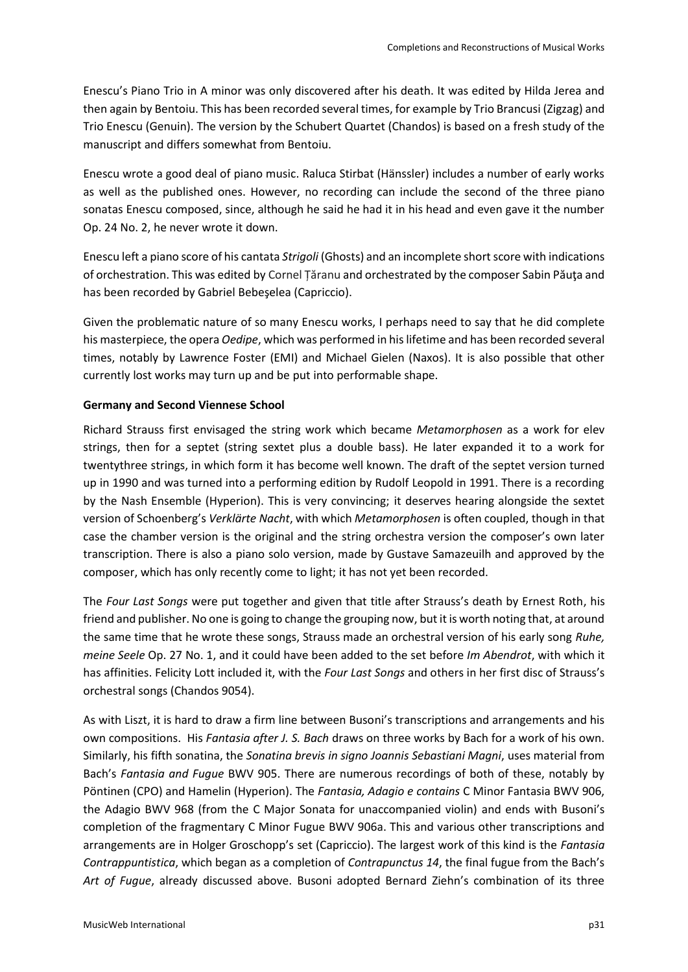Enescu's Piano Trio in A minor was only discovered after his death. It was edited by Hilda Jerea and then again by Bentoiu. This has been recorded several times, for example by Trio Brancusi (Zigzag) and Trio Enescu (Genuin). The version by the Schubert Quartet (Chandos) is based on a fresh study of the manuscript and differs somewhat from Bentoiu.

Enescu wrote a good deal of piano music. Raluca Stirbat (Hänssler) includes a number of early works as well as the published ones. However, no recording can include the second of the three piano sonatas Enescu composed, since, although he said he had it in his head and even gave it the number Op. 24 No. 2, he never wrote it down.

Enescu left a piano score of his cantata *Strigoli* (Ghosts) and an incomplete short score with indications of orchestration. This was edited by Cornel Tăranu and orchestrated by the composer Sabin Păuta and has been recorded by Gabriel Bebeşelea (Capriccio).

Given the problematic nature of so many Enescu works, I perhaps need to say that he did complete his masterpiece, the opera *Oedipe*, which was performed in his lifetime and has been recorded several times, notably by Lawrence Foster (EMI) and Michael Gielen (Naxos). It is also possible that other currently lost works may turn up and be put into performable shape.

# **Germany and Second Viennese School**

Richard Strauss first envisaged the string work which became *Metamorphosen* as a work for elev strings, then for a septet (string sextet plus a double bass). He later expanded it to a work for twentythree strings, in which form it has become well known. The draft of the septet version turned up in 1990 and was turned into a performing edition by Rudolf Leopold in 1991. There is a recording by the Nash Ensemble (Hyperion). This is very convincing; it deserves hearing alongside the sextet version of Schoenberg's *Verklärte Nacht*, with which *Metamorphosen* is often coupled, though in that case the chamber version is the original and the string orchestra version the composer's own later transcription. There is also a piano solo version, made by Gustave Samazeuilh and approved by the composer, which has only recently come to light; it has not yet been recorded.

The *Four Last Songs* were put together and given that title after Strauss's death by Ernest Roth, his friend and publisher. No one is going to change the grouping now, but it is worth noting that, at around the same time that he wrote these songs, Strauss made an orchestral version of his early song *Ruhe, meine Seele* Op. 27 No. 1, and it could have been added to the set before *Im Abendrot*, with which it has affinities. Felicity Lott included it, with the *Four Last Songs* and others in her first disc of Strauss's orchestral songs (Chandos 9054).

As with Liszt, it is hard to draw a firm line between Busoni's transcriptions and arrangements and his own compositions. His *Fantasia after J. S. Bach* draws on three works by Bach for a work of his own. Similarly, his fifth sonatina, the *Sonatina brevis in signo Joannis Sebastiani Magni*, uses material from Bach's *Fantasia and Fugue* BWV 905. There are numerous recordings of both of these, notably by Pöntinen (CPO) and Hamelin (Hyperion). The *Fantasia, Adagio e contains* C Minor Fantasia BWV 906, the Adagio BWV 968 (from the C Major Sonata for unaccompanied violin) and ends with Busoni's completion of the fragmentary C Minor Fugue BWV 906a. This and various other transcriptions and arrangements are in Holger Groschopp's set (Capriccio). The largest work of this kind is the *Fantasia Contrappuntistica*, which began as a completion of *Contrapunctus 14*, the final fugue from the Bach's *Art of Fugue*, already discussed above. Busoni adopted Bernard Ziehn's combination of its three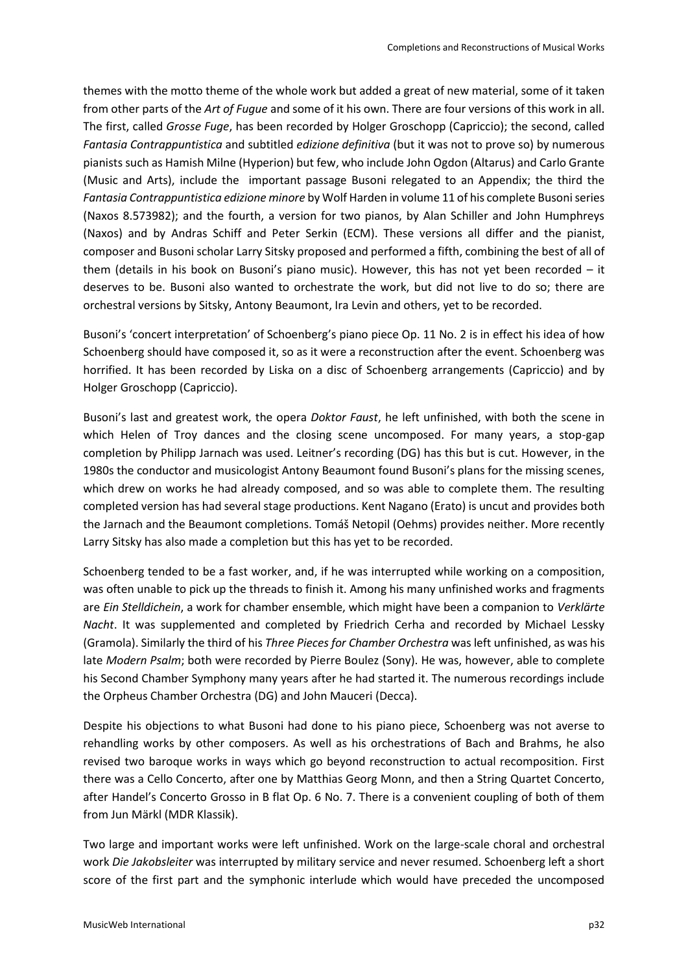themes with the motto theme of the whole work but added a great of new material, some of it taken from other parts of the *Art of Fugue* and some of it his own. There are four versions of this work in all. The first, called *Grosse Fuge*, has been recorded by Holger Groschopp (Capriccio); the second, called *Fantasia Contrappuntistica* and subtitled *edizione definitiva* (but it was not to prove so) by numerous pianists such as Hamish Milne (Hyperion) but few, who include John Ogdon (Altarus) and Carlo Grante (Music and Arts), include the important passage Busoni relegated to an Appendix; the third the *Fantasia Contrappuntistica edizione minore* by Wolf Harden in volume 11 of his complete Busoni series (Naxos 8.573982); and the fourth, a version for two pianos, by Alan Schiller and John Humphreys (Naxos) and by Andras Schiff and Peter Serkin (ECM). These versions all differ and the pianist, composer and Busoni scholar Larry Sitsky proposed and performed a fifth, combining the best of all of them (details in his book on Busoni's piano music). However, this has not yet been recorded – it deserves to be. Busoni also wanted to orchestrate the work, but did not live to do so; there are orchestral versions by Sitsky, Antony Beaumont, Ira Levin and others, yet to be recorded.

Busoni's 'concert interpretation' of Schoenberg's piano piece Op. 11 No. 2 is in effect his idea of how Schoenberg should have composed it, so as it were a reconstruction after the event. Schoenberg was horrified. It has been recorded by Liska on a disc of Schoenberg arrangements (Capriccio) and by Holger Groschopp (Capriccio).

Busoni's last and greatest work, the opera *Doktor Faust*, he left unfinished, with both the scene in which Helen of Troy dances and the closing scene uncomposed. For many years, a stop-gap completion by Philipp Jarnach was used. Leitner's recording (DG) has this but is cut. However, in the 1980s the conductor and musicologist Antony Beaumont found Busoni's plans for the missing scenes, which drew on works he had already composed, and so was able to complete them. The resulting completed version has had several stage productions. Kent Nagano (Erato) is uncut and provides both the Jarnach and the Beaumont completions. Tomáš Netopil (Oehms) provides neither. More recently Larry Sitsky has also made a completion but this has yet to be recorded.

Schoenberg tended to be a fast worker, and, if he was interrupted while working on a composition, was often unable to pick up the threads to finish it. Among his many unfinished works and fragments are *Ein Stelldichein*, a work for chamber ensemble, which might have been a companion to *Verklärte Nacht*. It was supplemented and completed by Friedrich Cerha and recorded by Michael Lessky (Gramola). Similarly the third of his *Three Pieces for Chamber Orchestra* was left unfinished, as was his late *Modern Psalm*; both were recorded by Pierre Boulez (Sony). He was, however, able to complete his Second Chamber Symphony many years after he had started it. The numerous recordings include the Orpheus Chamber Orchestra (DG) and John Mauceri (Decca).

Despite his objections to what Busoni had done to his piano piece, Schoenberg was not averse to rehandling works by other composers. As well as his orchestrations of Bach and Brahms, he also revised two baroque works in ways which go beyond reconstruction to actual recomposition. First there was a Cello Concerto, after one by Matthias Georg Monn, and then a String Quartet Concerto, after Handel's Concerto Grosso in B flat Op. 6 No. 7. There is a convenient coupling of both of them from Jun Märkl (MDR Klassik).

Two large and important works were left unfinished. Work on the large-scale choral and orchestral work *Die Jakobsleiter* was interrupted by military service and never resumed. Schoenberg left a short score of the first part and the symphonic interlude which would have preceded the uncomposed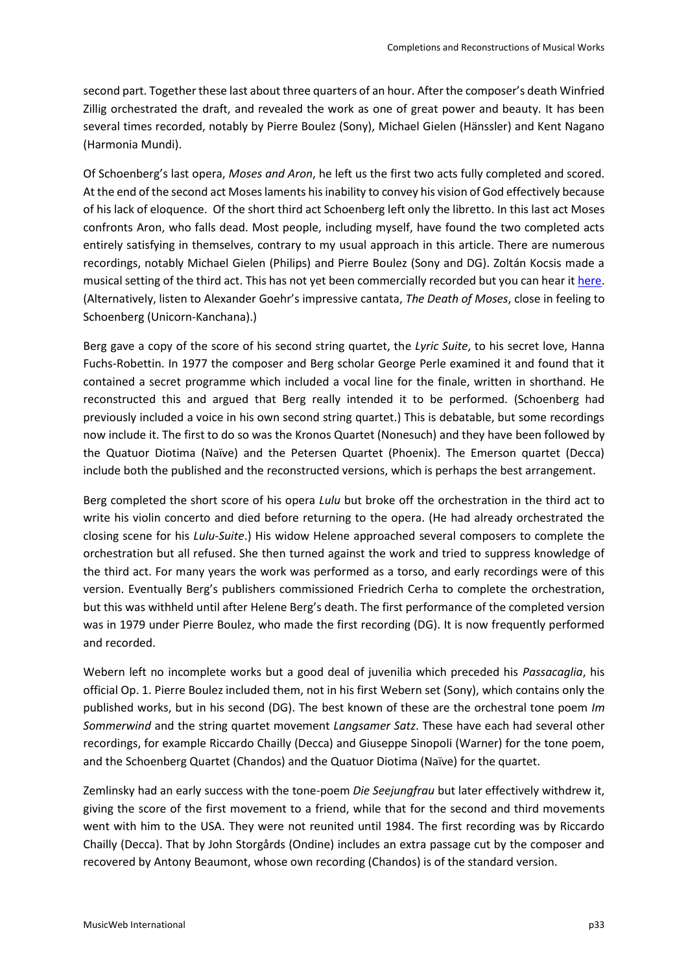second part. Together these last about three quarters of an hour. After the composer's death Winfried Zillig orchestrated the draft, and revealed the work as one of great power and beauty. It has been several times recorded, notably by Pierre Boulez (Sony), Michael Gielen (Hänssler) and Kent Nagano (Harmonia Mundi).

Of Schoenberg's last opera, *Moses and Aron*, he left us the first two acts fully completed and scored. At the end of the second act Moses laments his inability to convey his vision of God effectively because of his lack of eloquence. Of the short third act Schoenberg left only the libretto. In this last act Moses confronts Aron, who falls dead. Most people, including myself, have found the two completed acts entirely satisfying in themselves, contrary to my usual approach in this article. There are numerous recordings, notably Michael Gielen (Philips) and Pierre Boulez (Sony and DG). Zoltán Kocsis made a musical setting of the third act. This has not yet been commercially recorded but you can hear it [here.](https://www.youtube.com/watch?v=5nD36ZpRyKU) (Alternatively, listen to Alexander Goehr's impressive cantata, *The Death of Moses*, close in feeling to Schoenberg (Unicorn-Kanchana).)

Berg gave a copy of the score of his second string quartet, the *Lyric Suite*, to his secret love, Hanna Fuchs-Robettin. In 1977 the composer and Berg scholar George Perle examined it and found that it contained a secret programme which included a vocal line for the finale, written in shorthand. He reconstructed this and argued that Berg really intended it to be performed. (Schoenberg had previously included a voice in his own second string quartet.) This is debatable, but some recordings now include it. The first to do so was the Kronos Quartet (Nonesuch) and they have been followed by the Quatuor Diotima (Naïve) and the Petersen Quartet (Phoenix). The Emerson quartet (Decca) include both the published and the reconstructed versions, which is perhaps the best arrangement.

Berg completed the short score of his opera *Lulu* but broke off the orchestration in the third act to write his violin concerto and died before returning to the opera. (He had already orchestrated the closing scene for his *Lulu-Suite*.) His widow Helene approached several composers to complete the orchestration but all refused. She then turned against the work and tried to suppress knowledge of the third act. For many years the work was performed as a torso, and early recordings were of this version. Eventually Berg's publishers commissioned Friedrich Cerha to complete the orchestration, but this was withheld until after Helene Berg's death. The first performance of the completed version was in 1979 under Pierre Boulez, who made the first recording (DG). It is now frequently performed and recorded.

Webern left no incomplete works but a good deal of juvenilia which preceded his *Passacaglia*, his official Op. 1. Pierre Boulez included them, not in his first Webern set (Sony), which contains only the published works, but in his second (DG). The best known of these are the orchestral tone poem *Im Sommerwind* and the string quartet movement *Langsamer Satz*. These have each had several other recordings, for example Riccardo Chailly (Decca) and Giuseppe Sinopoli (Warner) for the tone poem, and the Schoenberg Quartet (Chandos) and the Quatuor Diotima (Naïve) for the quartet.

Zemlinsky had an early success with the tone-poem *Die Seejungfrau* but later effectively withdrew it, giving the score of the first movement to a friend, while that for the second and third movements went with him to the USA. They were not reunited until 1984. The first recording was by Riccardo Chailly (Decca). That by John Storgårds (Ondine) includes an extra passage cut by the composer and recovered by Antony Beaumont, whose own recording (Chandos) is of the standard version.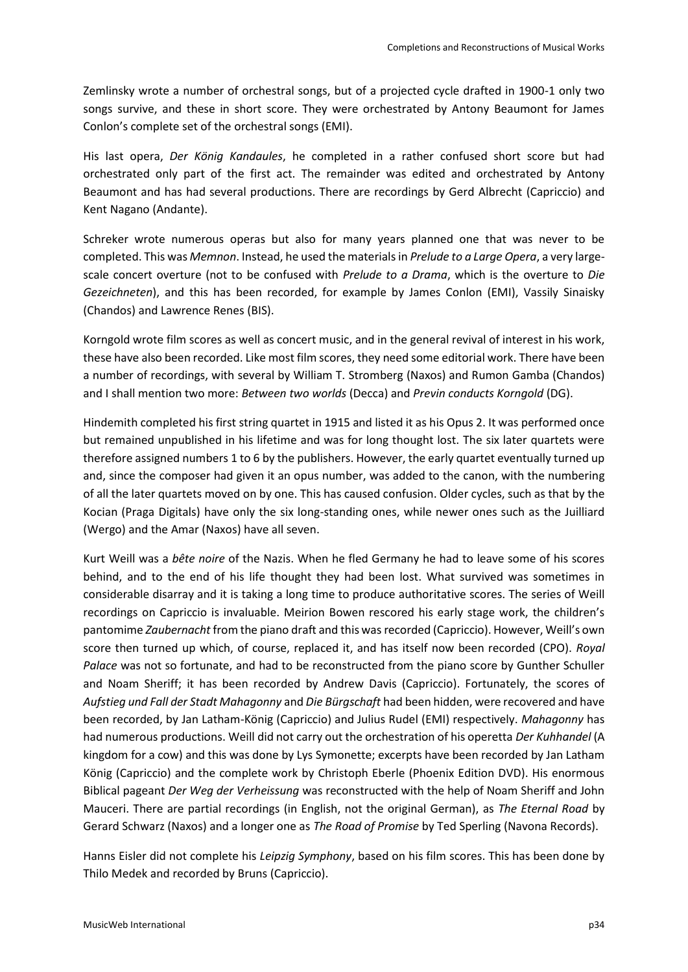Zemlinsky wrote a number of orchestral songs, but of a projected cycle drafted in 1900-1 only two songs survive, and these in short score. They were orchestrated by Antony Beaumont for James Conlon's complete set of the orchestral songs (EMI).

His last opera, *Der König Kandaules*, he completed in a rather confused short score but had orchestrated only part of the first act. The remainder was edited and orchestrated by Antony Beaumont and has had several productions. There are recordings by Gerd Albrecht (Capriccio) and Kent Nagano (Andante).

Schreker wrote numerous operas but also for many years planned one that was never to be completed. This was *Memnon*. Instead, he used the materials in *Prelude to a Large Opera*, a very largescale concert overture (not to be confused with *Prelude to a Drama*, which is the overture to *Die Gezeichneten*), and this has been recorded, for example by James Conlon (EMI), Vassily Sinaisky (Chandos) and Lawrence Renes (BIS).

Korngold wrote film scores as well as concert music, and in the general revival of interest in his work, these have also been recorded. Like most film scores, they need some editorial work. There have been a number of recordings, with several by William T. Stromberg (Naxos) and Rumon Gamba (Chandos) and I shall mention two more: *Between two worlds* (Decca) and *Previn conducts Korngold* (DG).

Hindemith completed his first string quartet in 1915 and listed it as his Opus 2. It was performed once but remained unpublished in his lifetime and was for long thought lost. The six later quartets were therefore assigned numbers 1 to 6 by the publishers. However, the early quartet eventually turned up and, since the composer had given it an opus number, was added to the canon, with the numbering of all the later quartets moved on by one. This has caused confusion. Older cycles, such as that by the Kocian (Praga Digitals) have only the six long-standing ones, while newer ones such as the Juilliard (Wergo) and the Amar (Naxos) have all seven.

Kurt Weill was a *bête noire* of the Nazis. When he fled Germany he had to leave some of his scores behind, and to the end of his life thought they had been lost. What survived was sometimes in considerable disarray and it is taking a long time to produce authoritative scores. The series of Weill recordings on Capriccio is invaluable. Meirion Bowen rescored his early stage work, the children's pantomime *Zaubernacht* from the piano draft and this was recorded (Capriccio). However, Weill's own score then turned up which, of course, replaced it, and has itself now been recorded (CPO). *Royal Palace* was not so fortunate, and had to be reconstructed from the piano score by Gunther Schuller and Noam Sheriff; it has been recorded by Andrew Davis (Capriccio). Fortunately, the scores of *Aufstieg und Fall der Stadt Mahagonny* and *Die Bürgschaft* had been hidden, were recovered and have been recorded, by Jan Latham-König (Capriccio) and Julius Rudel (EMI) respectively. *Mahagonny* has had numerous productions. Weill did not carry out the orchestration of his operetta *Der Kuhhandel* (A kingdom for a cow) and this was done by Lys Symonette; excerpts have been recorded by Jan Latham König (Capriccio) and the complete work by Christoph Eberle (Phoenix Edition DVD). His enormous Biblical pageant *Der Weg der Verheissung* was reconstructed with the help of Noam Sheriff and John Mauceri. There are partial recordings (in English, not the original German), as *The Eternal Road* by Gerard Schwarz (Naxos) and a longer one as *The Road of Promise* by Ted Sperling (Navona Records).

Hanns Eisler did not complete his *Leipzig Symphony*, based on his film scores. This has been done by Thilo Medek and recorded by Bruns (Capriccio).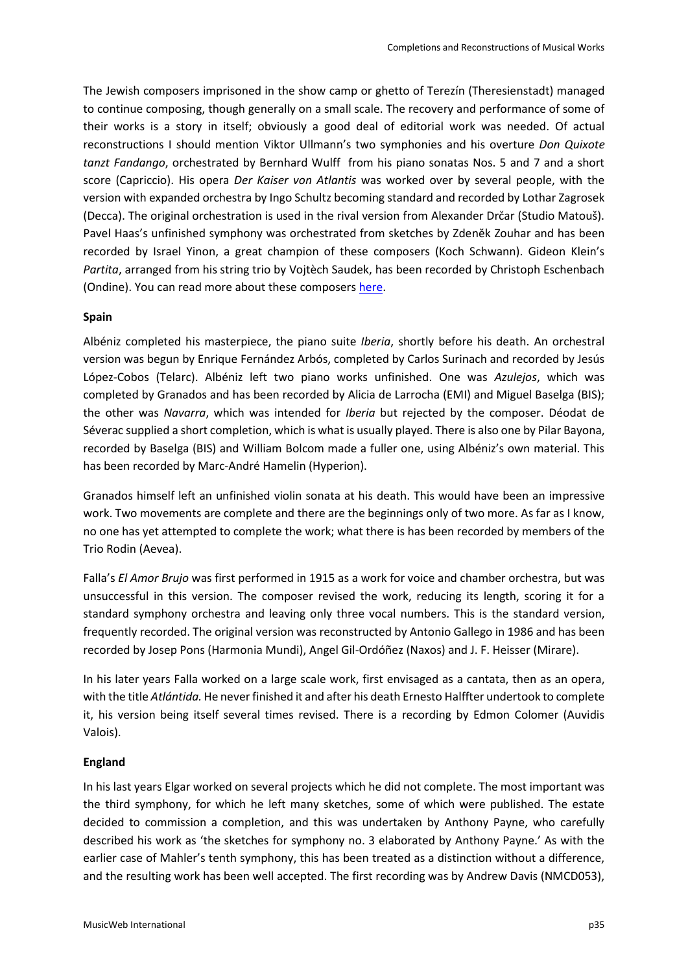The Jewish composers imprisoned in the show camp or ghetto of Terezín (Theresienstadt) managed to continue composing, though generally on a small scale. The recovery and performance of some of their works is a story in itself; obviously a good deal of editorial work was needed. Of actual reconstructions I should mention Viktor Ullmann's two symphonies and his overture *Don Quixote tanzt Fandango*, orchestrated by Bernhard Wulff from his piano sonatas Nos. 5 and 7 and a short score (Capriccio). His opera *Der Kaiser von Atlantis* was worked over by several people, with the version with expanded orchestra by Ingo Schultz becoming standard and recorded by Lothar Zagrosek (Decca). The original orchestration is used in the rival version from Alexander Drčar (Studio Matouš). Pavel Haas's unfinished symphony was orchestrated from sketches by Zdenĕk Zouhar and has been recorded by Israel Yinon, a great champion of these composers (Koch Schwann). Gideon Klein's *Partita*, arranged from his string trio by Vojtèch Saudek, has been recorded by Christoph Eschenbach (Ondine). You can read more about these composer[s here.](http://holocaustmusic.ort.org/places/theresienstadt/)

### **Spain**

Albéniz completed his masterpiece, the piano suite *Iberia*, shortly before his death. An orchestral version was begun by Enrique Fernández Arbós, completed by Carlos Surinach and recorded by Jesús López-Cobos (Telarc). Albéniz left two piano works unfinished. One was *Azulejos*, which was completed by Granados and has been recorded by Alicia de Larrocha (EMI) and Miguel Baselga (BIS); the other was *Navarra*, which was intended for *Iberia* but rejected by the composer. Déodat de Séverac supplied a short completion, which is what is usually played. There is also one by Pilar Bayona, recorded by Baselga (BIS) and William Bolcom made a fuller one, using Albéniz's own material. This has been recorded by Marc-André Hamelin (Hyperion).

Granados himself left an unfinished violin sonata at his death. This would have been an impressive work. Two movements are complete and there are the beginnings only of two more. As far as I know, no one has yet attempted to complete the work; what there is has been recorded by members of the Trio Rodin (Aevea).

Falla's *El Amor Brujo* was first performed in 1915 as a work for voice and chamber orchestra, but was unsuccessful in this version. The composer revised the work, reducing its length, scoring it for a standard symphony orchestra and leaving only three vocal numbers. This is the standard version, frequently recorded. The original version was reconstructed by Antonio Gallego in 1986 and has been recorded by Josep Pons (Harmonia Mundi), Angel Gil-Ordóñez (Naxos) and J. F. Heisser (Mirare).

In his later years Falla worked on a large scale work, first envisaged as a cantata, then as an opera, with the title *Atlántida.* He never finished it and after his death Ernesto Halffter undertook to complete it, his version being itself several times revised. There is a recording by Edmon Colomer (Auvidis Valois).

# **England**

In his last years Elgar worked on several projects which he did not complete. The most important was the third symphony, for which he left many sketches, some of which were published. The estate decided to commission a completion, and this was undertaken by Anthony Payne, who carefully described his work as 'the sketches for symphony no. 3 elaborated by Anthony Payne.' As with the earlier case of Mahler's tenth symphony, this has been treated as a distinction without a difference, and the resulting work has been well accepted. The first recording was by Andrew Davis (NMCD053),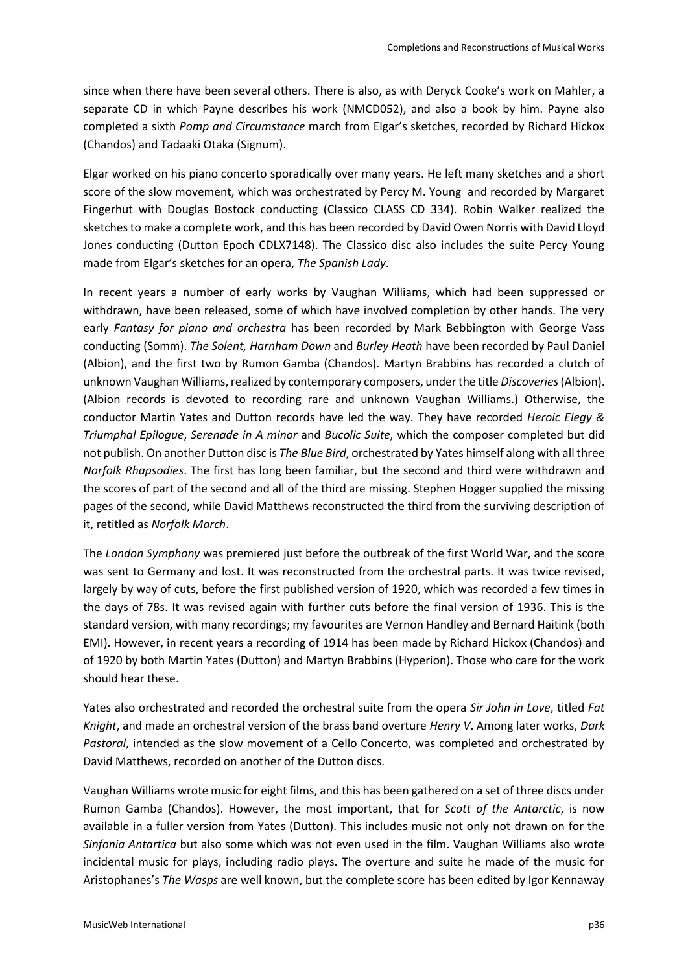since when there have been several others. There is also, as with Deryck Cooke's work on Mahler, a separate CD in which Payne describes his work (NMCD052), and also a book by him. Payne also completed a sixth *Pomp and Circumstance* march from Elgar's sketches, recorded by Richard Hickox (Chandos) and Tadaaki Otaka (Signum).

Elgar worked on his piano concerto sporadically over many years. He left many sketches and a short score of the slow movement, which was orchestrated by Percy M. Young and recorded by Margaret Fingerhut with Douglas Bostock conducting (Classico CLASS CD 334). Robin Walker realized the sketches to make a complete work, and this has been recorded by David Owen Norris with David Lloyd Jones conducting (Dutton Epoch CDLX7148). The Classico disc also includes the suite Percy Young made from Elgar's sketches for an opera, *The Spanish Lady*.

In recent years a number of early works by Vaughan Williams, which had been suppressed or withdrawn, have been released, some of which have involved completion by other hands. The very early *Fantasy for piano and orchestra* has been recorded by Mark Bebbington with George Vass conducting (Somm). *The Solent, Harnham Down* and *Burley Heath* have been recorded by Paul Daniel (Albion), and the first two by Rumon Gamba (Chandos). Martyn Brabbins has recorded a clutch of unknown Vaughan Williams, realized by contemporary composers, under the title *Discoveries*(Albion). (Albion records is devoted to recording rare and unknown Vaughan Williams.) Otherwise, the conductor Martin Yates and Dutton records have led the way. They have recorded *Heroic Elegy & Triumphal Epilogue*, *Serenade in A minor* and *Bucolic Suite*, which the composer completed but did not publish. On another Dutton disc is *The Blue Bird*, orchestrated by Yates himself along with all three *Norfolk Rhapsodies*. The first has long been familiar, but the second and third were withdrawn and the scores of part of the second and all of the third are missing. Stephen Hogger supplied the missing pages of the second, while David Matthews reconstructed the third from the surviving description of it, retitled as *Norfolk March*.

The *London Symphony* was premiered just before the outbreak of the first World War, and the score was sent to Germany and lost. It was reconstructed from the orchestral parts. It was twice revised, largely by way of cuts, before the first published version of 1920, which was recorded a few times in the days of 78s. It was revised again with further cuts before the final version of 1936. This is the standard version, with many recordings; my favourites are Vernon Handley and Bernard Haitink (both EMI). However, in recent years a recording of 1914 has been made by Richard Hickox (Chandos) and of 1920 by both Martin Yates (Dutton) and Martyn Brabbins (Hyperion). Those who care for the work should hear these.

Yates also orchestrated and recorded the orchestral suite from the opera *Sir John in Love*, titled *Fat Knight*, and made an orchestral version of the brass band overture *Henry V*. Among later works, *Dark Pastoral*, intended as the slow movement of a Cello Concerto, was completed and orchestrated by David Matthews, recorded on another of the Dutton discs.

Vaughan Williams wrote music for eight films, and this has been gathered on a set of three discs under Rumon Gamba (Chandos). However, the most important, that for *Scott of the Antarctic*, is now available in a fuller version from Yates (Dutton). This includes music not only not drawn on for the *Sinfonia Antartica* but also some which was not even used in the film. Vaughan Williams also wrote incidental music for plays, including radio plays. The overture and suite he made of the music for Aristophanes's *The Wasps* are well known, but the complete score has been edited by Igor Kennaway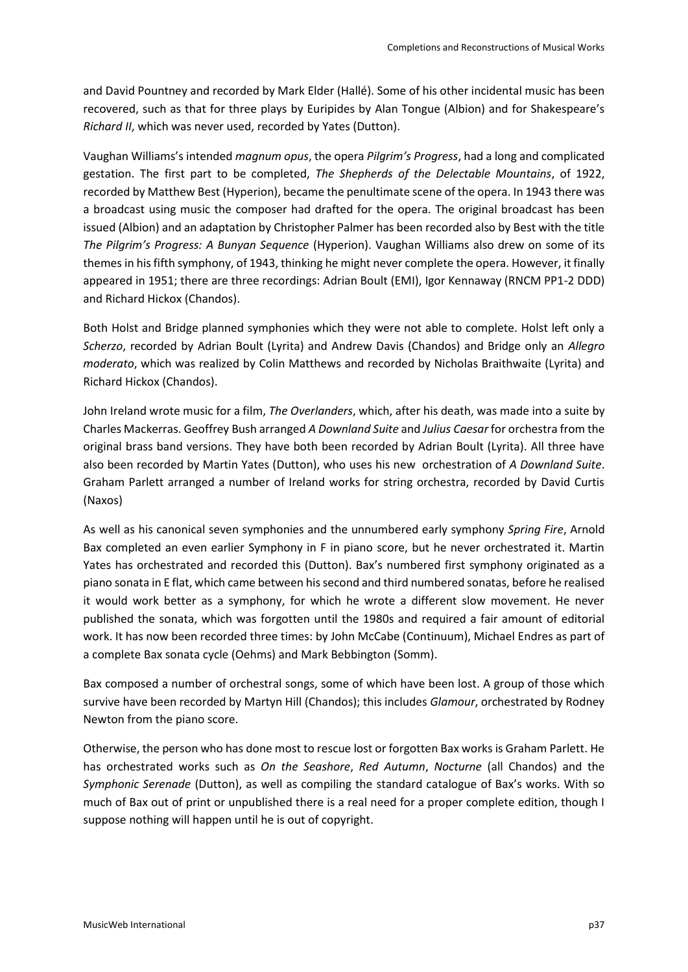and David Pountney and recorded by Mark Elder (Hallé). Some of his other incidental music has been recovered, such as that for three plays by Euripides by Alan Tongue (Albion) and for Shakespeare's *Richard II*, which was never used, recorded by Yates (Dutton).

Vaughan Williams's intended *magnum opus*, the opera *Pilgrim's Progress*, had a long and complicated gestation. The first part to be completed, *The Shepherds of the Delectable Mountains*, of 1922, recorded by Matthew Best (Hyperion), became the penultimate scene of the opera. In 1943 there was a broadcast using music the composer had drafted for the opera. The original broadcast has been issued (Albion) and an adaptation by Christopher Palmer has been recorded also by Best with the title *The Pilgrim's Progress: A Bunyan Sequence* (Hyperion). Vaughan Williams also drew on some of its themes in his fifth symphony, of 1943, thinking he might never complete the opera. However, it finally appeared in 1951; there are three recordings: Adrian Boult (EMI), Igor Kennaway (RNCM PP1-2 DDD) and Richard Hickox (Chandos).

Both Holst and Bridge planned symphonies which they were not able to complete. Holst left only a *Scherzo*, recorded by Adrian Boult (Lyrita) and Andrew Davis (Chandos) and Bridge only an *Allegro moderato*, which was realized by Colin Matthews and recorded by Nicholas Braithwaite (Lyrita) and Richard Hickox (Chandos).

John Ireland wrote music for a film, *The Overlanders*, which, after his death, was made into a suite by Charles Mackerras. Geoffrey Bush arranged *A Downland Suite* and *Julius Caesar* for orchestra from the original brass band versions. They have both been recorded by Adrian Boult (Lyrita). All three have also been recorded by Martin Yates (Dutton), who uses his new orchestration of *A Downland Suite*. Graham Parlett arranged a number of Ireland works for string orchestra, recorded by David Curtis (Naxos)

As well as his canonical seven symphonies and the unnumbered early symphony *Spring Fire*, Arnold Bax completed an even earlier Symphony in F in piano score, but he never orchestrated it. Martin Yates has orchestrated and recorded this (Dutton). Bax's numbered first symphony originated as a piano sonata in E flat, which came between his second and third numbered sonatas, before he realised it would work better as a symphony, for which he wrote a different slow movement. He never published the sonata, which was forgotten until the 1980s and required a fair amount of editorial work. It has now been recorded three times: by John McCabe (Continuum), Michael Endres as part of a complete Bax sonata cycle (Oehms) and Mark Bebbington (Somm).

Bax composed a number of orchestral songs, some of which have been lost. A group of those which survive have been recorded by Martyn Hill (Chandos); this includes *Glamour*, orchestrated by Rodney Newton from the piano score.

Otherwise, the person who has done most to rescue lost or forgotten Bax works is Graham Parlett. He has orchestrated works such as *On the Seashore*, *Red Autumn*, *Nocturne* (all Chandos) and the *Symphonic Serenade* (Dutton), as well as compiling the standard catalogue of Bax's works. With so much of Bax out of print or unpublished there is a real need for a proper complete edition, though I suppose nothing will happen until he is out of copyright.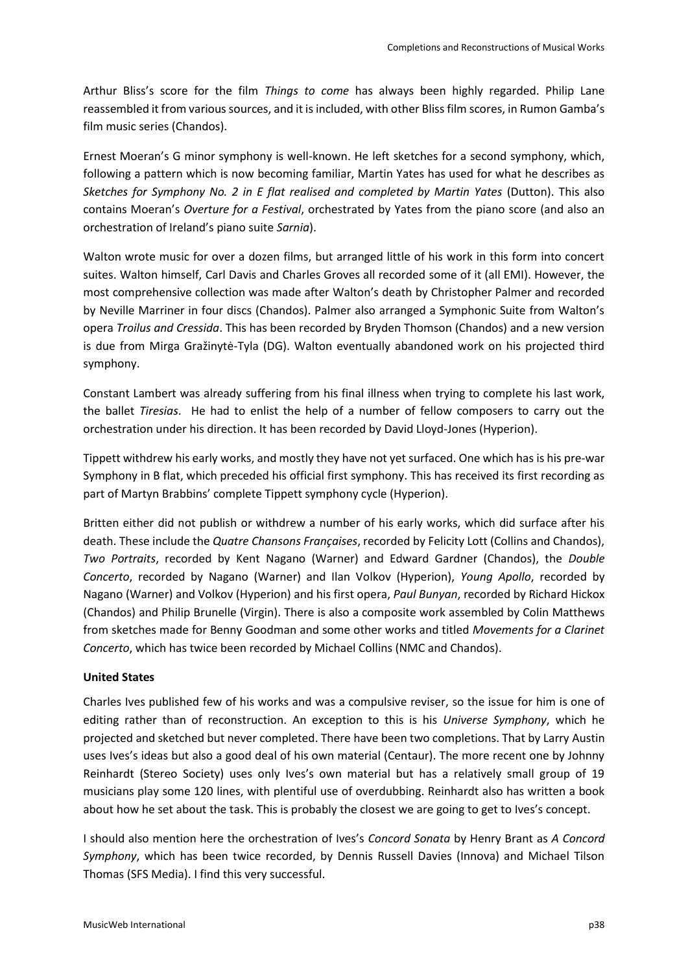Arthur Bliss's score for the film *Things to come* has always been highly regarded. Philip Lane reassembled it from various sources, and it is included, with other Bliss film scores, in Rumon Gamba's film music series (Chandos).

Ernest Moeran's G minor symphony is well-known. He left sketches for a second symphony, which, following a pattern which is now becoming familiar, Martin Yates has used for what he describes as *Sketches for Symphony No. 2 in E flat realised and completed by Martin Yates* (Dutton). This also contains Moeran's *Overture for a Festival*, orchestrated by Yates from the piano score (and also an orchestration of Ireland's piano suite *Sarnia*).

Walton wrote music for over a dozen films, but arranged little of his work in this form into concert suites. Walton himself, Carl Davis and Charles Groves all recorded some of it (all EMI). However, the most comprehensive collection was made after Walton's death by Christopher Palmer and recorded by Neville Marriner in four discs (Chandos). Palmer also arranged a Symphonic Suite from Walton's opera *Troilus and Cressida*. This has been recorded by Bryden Thomson (Chandos) and a new version is due from Mirga Gražinytė-Tyla (DG). Walton eventually abandoned work on his projected third symphony.

Constant Lambert was already suffering from his final illness when trying to complete his last work, the ballet *Tiresias*. He had to enlist the help of a number of fellow composers to carry out the orchestration under his direction. It has been recorded by David Lloyd-Jones (Hyperion).

Tippett withdrew his early works, and mostly they have not yet surfaced. One which has is his pre-war Symphony in B flat, which preceded his official first symphony. This has received its first recording as part of Martyn Brabbins' complete Tippett symphony cycle (Hyperion).

Britten either did not publish or withdrew a number of his early works, which did surface after his death. These include the *Quatre Chansons Françaises*, recorded by Felicity Lott (Collins and Chandos), *Two Portraits*, recorded by Kent Nagano (Warner) and Edward Gardner (Chandos), the *Double Concerto*, recorded by Nagano (Warner) and Ilan Volkov (Hyperion), *Young Apollo*, recorded by Nagano (Warner) and Volkov (Hyperion) and his first opera, *Paul Bunyan*, recorded by Richard Hickox (Chandos) and Philip Brunelle (Virgin). There is also a composite work assembled by Colin Matthews from sketches made for Benny Goodman and some other works and titled *Movements for a Clarinet Concerto*, which has twice been recorded by Michael Collins (NMC and Chandos).

# **United States**

Charles Ives published few of his works and was a compulsive reviser, so the issue for him is one of editing rather than of reconstruction. An exception to this is his *Universe Symphony*, which he projected and sketched but never completed. There have been two completions. That by Larry Austin uses Ives's ideas but also a good deal of his own material (Centaur). The more recent one by Johnny Reinhardt (Stereo Society) uses only Ives's own material but has a relatively small group of 19 musicians play some 120 lines, with plentiful use of overdubbing. Reinhardt also has written a book about how he set about the task. This is probably the closest we are going to get to Ives's concept.

I should also mention here the orchestration of Ives's *Concord Sonata* by Henry Brant as *A Concord Symphony*, which has been twice recorded, by Dennis Russell Davies (Innova) and Michael Tilson Thomas (SFS Media). I find this very successful.